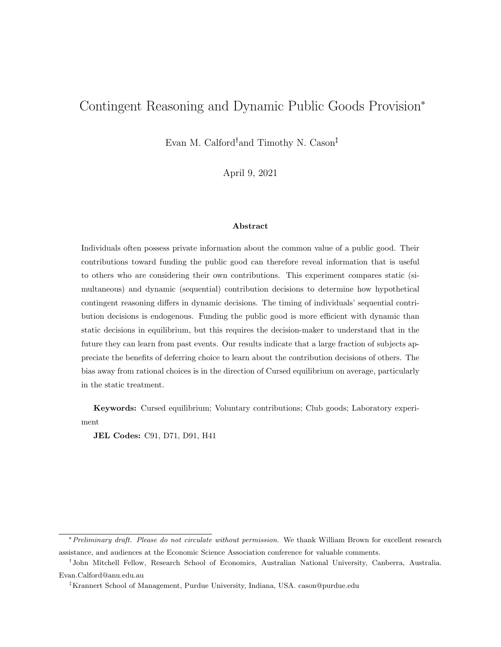# <span id="page-0-0"></span>Contingent Reasoning and Dynamic Public Goods Provision\*

Evan M. Calford<sup>†</sup>and Timothy N. Cason<sup>‡</sup>

April 9, 2021

#### Abstract

Individuals often possess private information about the common value of a public good. Their contributions toward funding the public good can therefore reveal information that is useful to others who are considering their own contributions. This experiment compares static (simultaneous) and dynamic (sequential) contribution decisions to determine how hypothetical contingent reasoning differs in dynamic decisions. The timing of individuals' sequential contribution decisions is endogenous. Funding the public good is more efficient with dynamic than static decisions in equilibrium, but this requires the decision-maker to understand that in the future they can learn from past events. Our results indicate that a large fraction of subjects appreciate the benefits of deferring choice to learn about the contribution decisions of others. The bias away from rational choices is in the direction of Cursed equilibrium on average, particularly in the static treatment.

Keywords: Cursed equilibrium; Voluntary contributions; Club goods; Laboratory experiment

JEL Codes: C91, D71, D91, H41

<sup>\*</sup>Preliminary draft. Please do not circulate without permission. We thank William Brown for excellent research assistance, and audiences at the Economic Science Association conference for valuable comments.

<sup>&</sup>lt;sup>†</sup>John Mitchell Fellow, Research School of Economics, Australian National University, Canberra, Australia. Evan.Calford@anu.edu.au

Krannert School of Management, Purdue University, Indiana, USA. cason@purdue.edu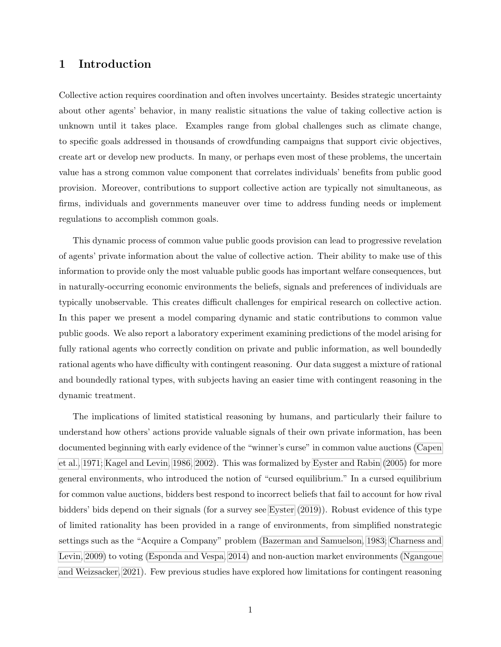## 1 Introduction

Collective action requires coordination and often involves uncertainty. Besides strategic uncertainty about other agents' behavior, in many realistic situations the value of taking collective action is unknown until it takes place. Examples range from global challenges such as climate change, to specific goals addressed in thousands of crowdfunding campaigns that support civic objectives, create art or develop new products. In many, or perhaps even most of these problems, the uncertain value has a strong common value component that correlates individuals' benefits from public good provision. Moreover, contributions to support collective action are typically not simultaneous, as firms, individuals and governments maneuver over time to address funding needs or implement regulations to accomplish common goals.

This dynamic process of common value public goods provision can lead to progressive revelation of agents' private information about the value of collective action. Their ability to make use of this information to provide only the most valuable public goods has important welfare consequences, but in naturally-occurring economic environments the beliefs, signals and preferences of individuals are typically unobservable. This creates difficult challenges for empirical research on collective action. In this paper we present a model comparing dynamic and static contributions to common value public goods. We also report a laboratory experiment examining predictions of the model arising for fully rational agents who correctly condition on private and public information, as well boundedly rational agents who have difficulty with contingent reasoning. Our data suggest a mixture of rational and boundedly rational types, with subjects having an easier time with contingent reasoning in the dynamic treatment.

The implications of limited statistical reasoning by humans, and particularly their failure to understand how others' actions provide valuable signals of their own private information, has been documented beginning with early evidence of the "winner's curse" in common value auctions [\(Capen](#page-41-0) [et al., 1971;](#page-41-0) [Kagel and Levin, 1986,](#page-42-0) [2002\)](#page-42-1). This was formalized by [Eyster and Rabin](#page-42-2) [\(2005\)](#page-42-2) for more general environments, who introduced the notion of "cursed equilibrium." In a cursed equilibrium for common value auctions, bidders best respond to incorrect beliefs that fail to account for how rival bidders' bids depend on their signals (for a survey see [Eyster](#page-42-3) [\(2019\)](#page-42-3)). Robust evidence of this type of limited rationality has been provided in a range of environments, from simplified nonstrategic settings such as the "Acquire a Company" problem [\(Bazerman and Samuelson, 1983;](#page-41-1) [Charness and](#page-41-2) [Levin, 2009\)](#page-41-2) to voting [\(Esponda and Vespa, 2014\)](#page-41-3) and non-auction market environments [\(Ngangoue](#page-42-4) [and Weizsacker, 2021\)](#page-42-4). Few previous studies have explored how limitations for contingent reasoning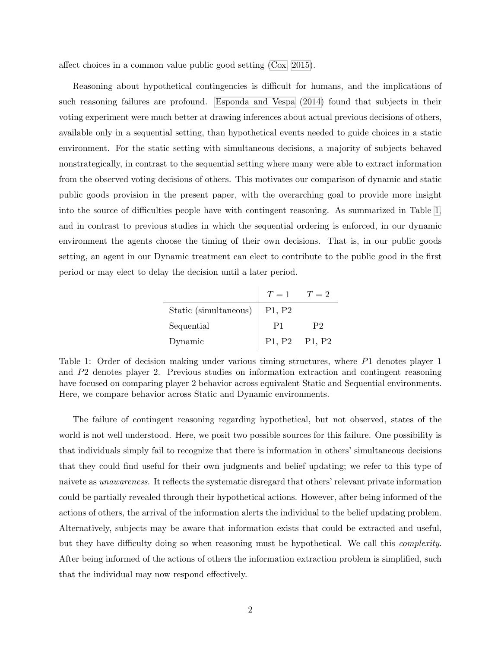<span id="page-2-1"></span>affect choices in a common value public good setting [\(Cox, 2015\)](#page-41-4).

Reasoning about hypothetical contingencies is difficult for humans, and the implications of such reasoning failures are profound. [Esponda and Vespa](#page-41-3) [\(2014\)](#page-41-3) found that subjects in their voting experiment were much better at drawing inferences about actual previous decisions of others, available only in a sequential setting, than hypothetical events needed to guide choices in a static environment. For the static setting with simultaneous decisions, a majority of subjects behaved nonstrategically, in contrast to the sequential setting where many were able to extract information from the observed voting decisions of others. This motivates our comparison of dynamic and static public goods provision in the present paper, with the overarching goal to provide more insight into the source of difficulties people have with contingent reasoning. As summarized in Table [1,](#page-2-0) and in contrast to previous studies in which the sequential ordering is enforced, in our dynamic environment the agents choose the timing of their own decisions. That is, in our public goods setting, an agent in our Dynamic treatment can elect to contribute to the public good in the first period or may elect to delay the decision until a later period.

|                               | $T=1$ $T=2$                     |    |
|-------------------------------|---------------------------------|----|
| Static (simultaneous) $\vert$ | P <sub>1</sub> , P <sub>2</sub> |    |
| Sequential                    | P1                              | P2 |
| Dynamic                       | P1, P2 P1, P2                   |    |

<span id="page-2-0"></span>Table 1: Order of decision making under various timing structures, where P1 denotes player 1 and P2 denotes player 2. Previous studies on information extraction and contingent reasoning have focused on comparing player 2 behavior across equivalent Static and Sequential environments. Here, we compare behavior across Static and Dynamic environments.

The failure of contingent reasoning regarding hypothetical, but not observed, states of the world is not well understood. Here, we posit two possible sources for this failure. One possibility is that individuals simply fail to recognize that there is information in others' simultaneous decisions that they could find useful for their own judgments and belief updating; we refer to this type of naivete as unawareness. It reflects the systematic disregard that others' relevant private information could be partially revealed through their hypothetical actions. However, after being informed of the actions of others, the arrival of the information alerts the individual to the belief updating problem. Alternatively, subjects may be aware that information exists that could be extracted and useful, but they have difficulty doing so when reasoning must be hypothetical. We call this complexity. After being informed of the actions of others the information extraction problem is simplified, such that the individual may now respond effectively.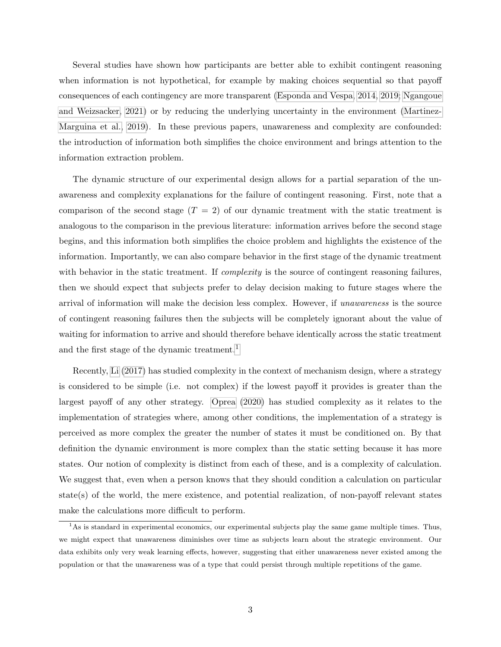<span id="page-3-1"></span>Several studies have shown how participants are better able to exhibit contingent reasoning when information is not hypothetical, for example by making choices sequential so that payoff consequences of each contingency are more transparent [\(Esponda and Vespa, 2014,](#page-41-3) [2019;](#page-41-5) [Ngangoue](#page-42-4) [and Weizsacker, 2021\)](#page-42-4) or by reducing the underlying uncertainty in the environment [\(Martinez-](#page-42-5)[Marguina et al., 2019\)](#page-42-5). In these previous papers, unawareness and complexity are confounded: the introduction of information both simplifies the choice environment and brings attention to the information extraction problem.

The dynamic structure of our experimental design allows for a partial separation of the unawareness and complexity explanations for the failure of contingent reasoning. First, note that a comparison of the second stage  $(T = 2)$  of our dynamic treatment with the static treatment is analogous to the comparison in the previous literature: information arrives before the second stage begins, and this information both simplifies the choice problem and highlights the existence of the information. Importantly, we can also compare behavior in the first stage of the dynamic treatment with behavior in the static treatment. If *complexity* is the source of contingent reasoning failures, then we should expect that subjects prefer to delay decision making to future stages where the arrival of information will make the decision less complex. However, if unawareness is the source of contingent reasoning failures then the subjects will be completely ignorant about the value of waiting for information to arrive and should therefore behave identically across the static treatment and the first stage of the dynamic treatment.<sup>[1](#page-3-0)</sup>

Recently, [Li](#page-42-6) [\(2017\)](#page-42-6) has studied complexity in the context of mechanism design, where a strategy is considered to be simple (i.e. not complex) if the lowest payoff it provides is greater than the largest payoff of any other strategy. [Oprea](#page-42-7) [\(2020\)](#page-42-7) has studied complexity as it relates to the implementation of strategies where, among other conditions, the implementation of a strategy is perceived as more complex the greater the number of states it must be conditioned on. By that definition the dynamic environment is more complex than the static setting because it has more states. Our notion of complexity is distinct from each of these, and is a complexity of calculation. We suggest that, even when a person knows that they should condition a calculation on particular state(s) of the world, the mere existence, and potential realization, of non-payoff relevant states make the calculations more difficult to perform.

<span id="page-3-0"></span> ${}^{1}$ As is standard in experimental economics, our experimental subjects play the same game multiple times. Thus, we might expect that unawareness diminishes over time as subjects learn about the strategic environment. Our data exhibits only very weak learning effects, however, suggesting that either unawareness never existed among the population or that the unawareness was of a type that could persist through multiple repetitions of the game.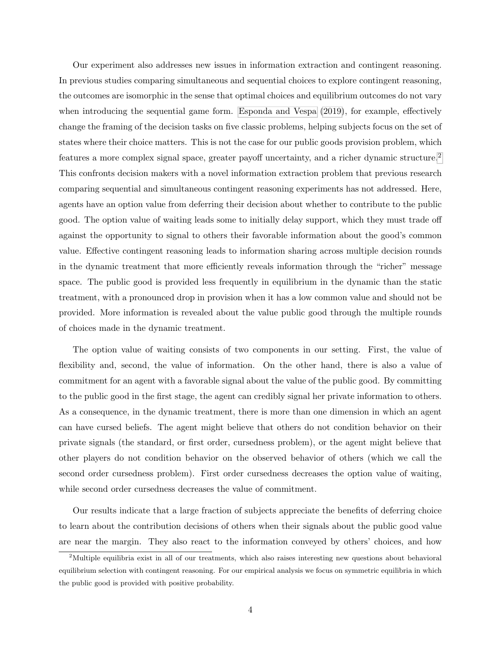<span id="page-4-1"></span>Our experiment also addresses new issues in information extraction and contingent reasoning. In previous studies comparing simultaneous and sequential choices to explore contingent reasoning, the outcomes are isomorphic in the sense that optimal choices and equilibrium outcomes do not vary when introducing the sequential game form. [Esponda and Vespa](#page-41-5) [\(2019\)](#page-41-5), for example, effectively change the framing of the decision tasks on five classic problems, helping subjects focus on the set of states where their choice matters. This is not the case for our public goods provision problem, which features a more complex signal space, greater payoff uncertainty, and a richer dynamic structure.<sup>[2](#page-4-0)</sup> This confronts decision makers with a novel information extraction problem that previous research comparing sequential and simultaneous contingent reasoning experiments has not addressed. Here, agents have an option value from deferring their decision about whether to contribute to the public good. The option value of waiting leads some to initially delay support, which they must trade off against the opportunity to signal to others their favorable information about the good's common value. Effective contingent reasoning leads to information sharing across multiple decision rounds in the dynamic treatment that more efficiently reveals information through the "richer" message space. The public good is provided less frequently in equilibrium in the dynamic than the static treatment, with a pronounced drop in provision when it has a low common value and should not be provided. More information is revealed about the value public good through the multiple rounds of choices made in the dynamic treatment.

The option value of waiting consists of two components in our setting. First, the value of flexibility and, second, the value of information. On the other hand, there is also a value of commitment for an agent with a favorable signal about the value of the public good. By committing to the public good in the first stage, the agent can credibly signal her private information to others. As a consequence, in the dynamic treatment, there is more than one dimension in which an agent can have cursed beliefs. The agent might believe that others do not condition behavior on their private signals (the standard, or first order, cursedness problem), or the agent might believe that other players do not condition behavior on the observed behavior of others (which we call the second order cursedness problem). First order cursedness decreases the option value of waiting, while second order cursedness decreases the value of commitment.

Our results indicate that a large fraction of subjects appreciate the benefits of deferring choice to learn about the contribution decisions of others when their signals about the public good value are near the margin. They also react to the information conveyed by others' choices, and how

<span id="page-4-0"></span><sup>&</sup>lt;sup>2</sup>Multiple equilibria exist in all of our treatments, which also raises interesting new questions about behavioral equilibrium selection with contingent reasoning. For our empirical analysis we focus on symmetric equilibria in which the public good is provided with positive probability.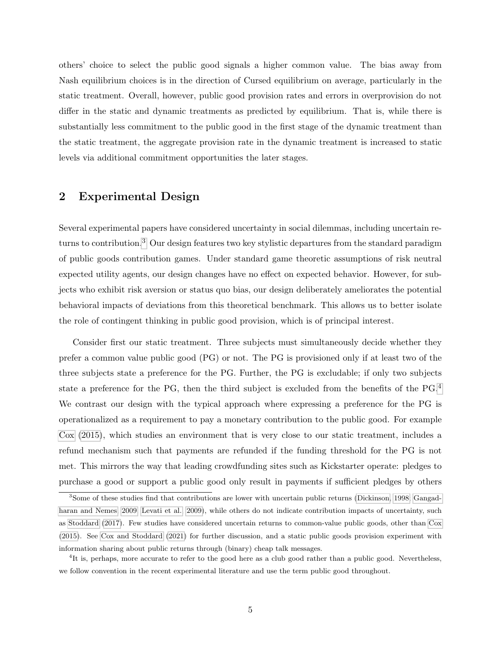<span id="page-5-2"></span>others' choice to select the public good signals a higher common value. The bias away from Nash equilibrium choices is in the direction of Cursed equilibrium on average, particularly in the static treatment. Overall, however, public good provision rates and errors in overprovision do not differ in the static and dynamic treatments as predicted by equilibrium. That is, while there is substantially less commitment to the public good in the first stage of the dynamic treatment than the static treatment, the aggregate provision rate in the dynamic treatment is increased to static levels via additional commitment opportunities the later stages.

## 2 Experimental Design

Several experimental papers have considered uncertainty in social dilemmas, including uncertain returns to contribution.[3](#page-5-0) Our design features two key stylistic departures from the standard paradigm of public goods contribution games. Under standard game theoretic assumptions of risk neutral expected utility agents, our design changes have no effect on expected behavior. However, for subjects who exhibit risk aversion or status quo bias, our design deliberately ameliorates the potential behavioral impacts of deviations from this theoretical benchmark. This allows us to better isolate the role of contingent thinking in public good provision, which is of principal interest.

Consider first our static treatment. Three subjects must simultaneously decide whether they prefer a common value public good (PG) or not. The PG is provisioned only if at least two of the three subjects state a preference for the PG. Further, the PG is excludable; if only two subjects state a preference for the PG, then the third subject is excluded from the benefits of the PG.<sup>[4](#page-5-1)</sup> We contrast our design with the typical approach where expressing a preference for the PG is operationalized as a requirement to pay a monetary contribution to the public good. For example [Cox](#page-41-4) [\(2015\)](#page-41-4), which studies an environment that is very close to our static treatment, includes a refund mechanism such that payments are refunded if the funding threshold for the PG is not met. This mirrors the way that leading crowdfunding sites such as Kickstarter operate: pledges to purchase a good or support a public good only result in payments if sufficient pledges by others

<span id="page-5-0"></span><sup>3</sup>Some of these studies find that contributions are lower with uncertain public returns [\(Dickinson, 1998;](#page-41-6) [Gangad](#page-42-8)[haran and Nemes, 2009;](#page-42-8) [Levati et al., 2009\)](#page-42-9), while others do not indicate contribution impacts of uncertainty, such as [Stoddard](#page-42-10) [\(2017\)](#page-42-10). Few studies have considered uncertain returns to common-value public goods, other than [Cox](#page-41-4) [\(2015\)](#page-41-4). See [Cox and Stoddard](#page-41-7) [\(2021\)](#page-41-7) for further discussion, and a static public goods provision experiment with information sharing about public returns through (binary) cheap talk messages.

<span id="page-5-1"></span><sup>&</sup>lt;sup>4</sup>It is, perhaps, more accurate to refer to the good here as a club good rather than a public good. Nevertheless, we follow convention in the recent experimental literature and use the term public good throughout.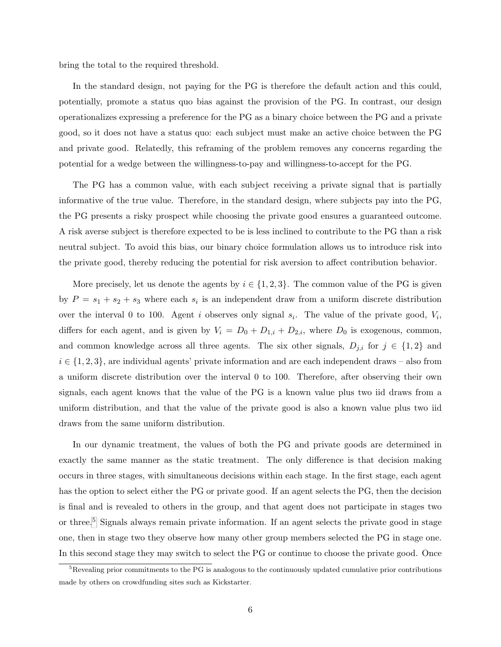bring the total to the required threshold.

In the standard design, not paying for the PG is therefore the default action and this could, potentially, promote a status quo bias against the provision of the PG. In contrast, our design operationalizes expressing a preference for the PG as a binary choice between the PG and a private good, so it does not have a status quo: each subject must make an active choice between the PG and private good. Relatedly, this reframing of the problem removes any concerns regarding the potential for a wedge between the willingness-to-pay and willingness-to-accept for the PG.

The PG has a common value, with each subject receiving a private signal that is partially informative of the true value. Therefore, in the standard design, where subjects pay into the PG, the PG presents a risky prospect while choosing the private good ensures a guaranteed outcome. A risk averse subject is therefore expected to be is less inclined to contribute to the PG than a risk neutral subject. To avoid this bias, our binary choice formulation allows us to introduce risk into the private good, thereby reducing the potential for risk aversion to affect contribution behavior.

More precisely, let us denote the agents by  $i \in \{1,2,3\}$ . The common value of the PG is given by  $P = s_1 + s_2 + s_3$  where each  $s_i$  is an independent draw from a uniform discrete distribution over the interval 0 to 100. Agent i observes only signal  $s_i$ . The value of the private good,  $V_i$ , differs for each agent, and is given by  $V_i = D_0 + D_{1,i} + D_{2,i}$ , where  $D_0$  is exogenous, common, and common knowledge across all three agents. The six other signals,  $D_{j,i}$  for  $j \in \{1,2\}$  and  $i \in \{1, 2, 3\}$ , are individual agents' private information and are each independent draws – also from a uniform discrete distribution over the interval 0 to 100. Therefore, after observing their own signals, each agent knows that the value of the PG is a known value plus two iid draws from a uniform distribution, and that the value of the private good is also a known value plus two iid draws from the same uniform distribution.

In our dynamic treatment, the values of both the PG and private goods are determined in exactly the same manner as the static treatment. The only difference is that decision making occurs in three stages, with simultaneous decisions within each stage. In the first stage, each agent has the option to select either the PG or private good. If an agent selects the PG, then the decision is final and is revealed to others in the group, and that agent does not participate in stages two or three.[5](#page-6-0) Signals always remain private information. If an agent selects the private good in stage one, then in stage two they observe how many other group members selected the PG in stage one. In this second stage they may switch to select the PG or continue to choose the private good. Once

<span id="page-6-0"></span><sup>5</sup>Revealing prior commitments to the PG is analogous to the continuously updated cumulative prior contributions made by others on crowdfunding sites such as Kickstarter.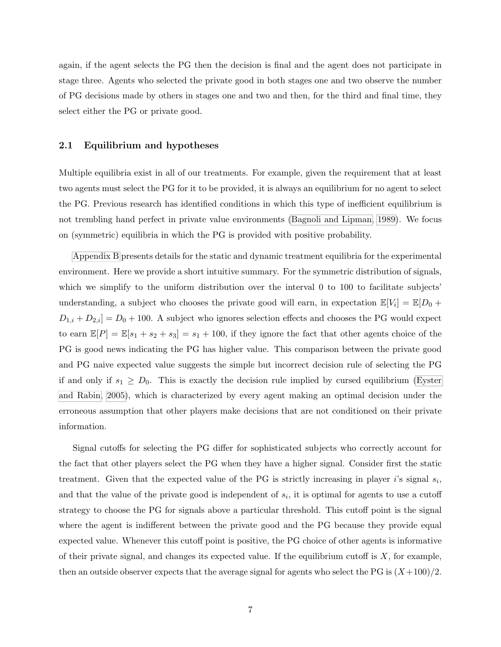<span id="page-7-0"></span>again, if the agent selects the PG then the decision is final and the agent does not participate in stage three. Agents who selected the private good in both stages one and two observe the number of PG decisions made by others in stages one and two and then, for the third and final time, they select either the PG or private good.

#### 2.1 Equilibrium and hypotheses

Multiple equilibria exist in all of our treatments. For example, given the requirement that at least two agents must select the PG for it to be provided, it is always an equilibrium for no agent to select the PG. Previous research has identified conditions in which this type of inefficient equilibrium is not trembling hand perfect in private value environments [\(Bagnoli and Lipman, 1989\)](#page-41-8). We focus on (symmetric) equilibria in which the PG is provided with positive probability.

[Appendix B](#page-34-0) presents details for the static and dynamic treatment equilibria for the experimental environment. Here we provide a short intuitive summary. For the symmetric distribution of signals, which we simplify to the uniform distribution over the interval 0 to 100 to facilitate subjects' understanding, a subject who chooses the private good will earn, in expectation  $\mathbb{E}[V_i] = \mathbb{E}[D_0 +$  $D_{1,i} + D_{2,i} = D_0 + 100$ . A subject who ignores selection effects and chooses the PG would expect to earn  $\mathbb{E}[P] = \mathbb{E}[s_1 + s_2 + s_3] = s_1 + 100$ , if they ignore the fact that other agents choice of the PG is good news indicating the PG has higher value. This comparison between the private good and PG naive expected value suggests the simple but incorrect decision rule of selecting the PG if and only if  $s_1 \geq D_0$ . This is exactly the decision rule implied by cursed equilibrium [\(Eyster](#page-42-2) [and Rabin, 2005\)](#page-42-2), which is characterized by every agent making an optimal decision under the erroneous assumption that other players make decisions that are not conditioned on their private information.

Signal cutoffs for selecting the PG differ for sophisticated subjects who correctly account for the fact that other players select the PG when they have a higher signal. Consider first the static treatment. Given that the expected value of the PG is strictly increasing in player i's signal  $s_i$ , and that the value of the private good is independent of  $s_i$ , it is optimal for agents to use a cutoff strategy to choose the PG for signals above a particular threshold. This cutoff point is the signal where the agent is indifferent between the private good and the PG because they provide equal expected value. Whenever this cutoff point is positive, the PG choice of other agents is informative of their private signal, and changes its expected value. If the equilibrium cutoff is  $X$ , for example, then an outside observer expects that the average signal for agents who select the PG is  $(X+100)/2$ .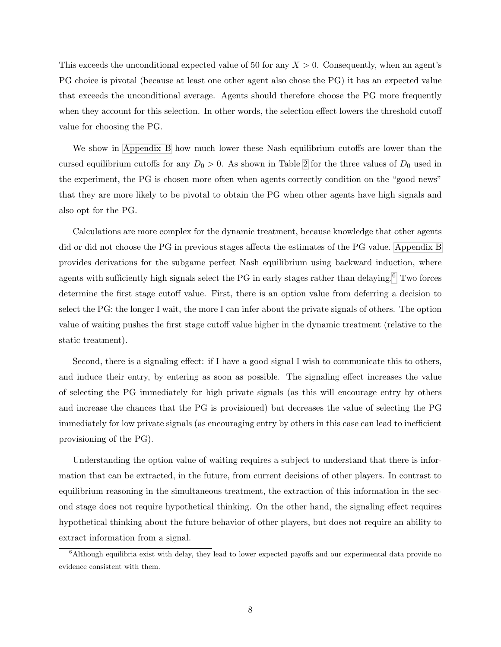This exceeds the unconditional expected value of 50 for any  $X > 0$ . Consequently, when an agent's PG choice is pivotal (because at least one other agent also chose the PG) it has an expected value that exceeds the unconditional average. Agents should therefore choose the PG more frequently when they account for this selection. In other words, the selection effect lowers the threshold cutoff value for choosing the PG.

We show in [Appendix B](#page-34-0) how much lower these Nash equilibrium cutoffs are lower than the cursed equilibrium cutoffs for any  $D_0 > 0$ . As shown in Table [2](#page-9-0) for the three values of  $D_0$  used in the experiment, the PG is chosen more often when agents correctly condition on the "good news" that they are more likely to be pivotal to obtain the PG when other agents have high signals and also opt for the PG.

Calculations are more complex for the dynamic treatment, because knowledge that other agents did or did not choose the PG in previous stages affects the estimates of the PG value. [Appendix B](#page-34-0) provides derivations for the subgame perfect Nash equilibrium using backward induction, where agents with sufficiently high signals select the PG in early stages rather than delaying.<sup>[6](#page-8-0)</sup> Two forces determine the first stage cutoff value. First, there is an option value from deferring a decision to select the PG: the longer I wait, the more I can infer about the private signals of others. The option value of waiting pushes the first stage cutoff value higher in the dynamic treatment (relative to the static treatment).

Second, there is a signaling effect: if I have a good signal I wish to communicate this to others, and induce their entry, by entering as soon as possible. The signaling effect increases the value of selecting the PG immediately for high private signals (as this will encourage entry by others and increase the chances that the PG is provisioned) but decreases the value of selecting the PG immediately for low private signals (as encouraging entry by others in this case can lead to inefficient provisioning of the PG).

Understanding the option value of waiting requires a subject to understand that there is information that can be extracted, in the future, from current decisions of other players. In contrast to equilibrium reasoning in the simultaneous treatment, the extraction of this information in the second stage does not require hypothetical thinking. On the other hand, the signaling effect requires hypothetical thinking about the future behavior of other players, but does not require an ability to extract information from a signal.

<span id="page-8-0"></span><sup>&</sup>lt;sup>6</sup>Although equilibria exist with delay, they lead to lower expected payoffs and our experimental data provide no evidence consistent with them.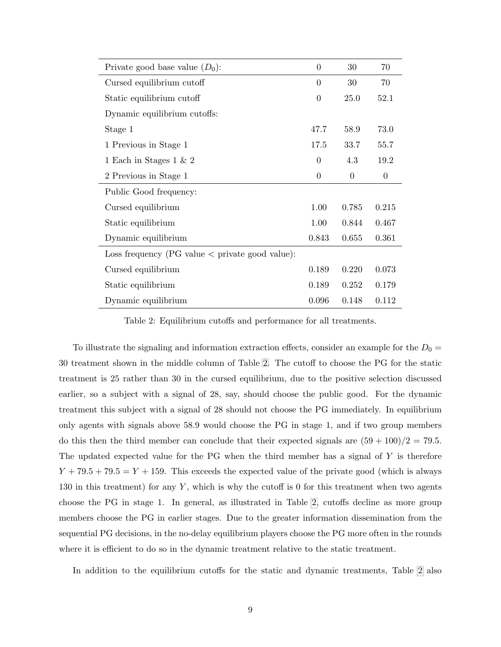| Private good base value $(D_0)$ :                       | $\overline{0}$ | 30               | 70               |
|---------------------------------------------------------|----------------|------------------|------------------|
| Cursed equilibrium cutoff                               | $\Omega$       | 30               | 70               |
| Static equilibrium cutoff                               | $\overline{0}$ | 25.0             | 52.1             |
| Dynamic equilibrium cutoffs:                            |                |                  |                  |
| Stage 1                                                 | 47.7           | 58.9             | 73.0             |
| 1 Previous in Stage 1                                   | 17.5           | 33.7             | 55.7             |
| 1 Each in Stages 1 & 2                                  | $\overline{0}$ | 4.3              | 19.2             |
| 2 Previous in Stage 1                                   | $\theta$       | $\boldsymbol{0}$ | $\boldsymbol{0}$ |
| Public Good frequency:                                  |                |                  |                  |
| Cursed equilibrium                                      | 1.00           | 0.785            | 0.215            |
| Static equilibrium                                      | 1.00           | 0.844            | 0.467            |
| Dynamic equilibrium                                     | 0.843          | 0.655            | 0.361            |
| Loss frequency (PG value $\langle$ private good value): |                |                  |                  |
| Cursed equilibrium                                      | 0.189          | 0.220            | 0.073            |
| Static equilibrium                                      | 0.189          | 0.252            | 0.179            |
| Dynamic equilibrium                                     | 0.096          | 0.148            | 0.112            |

<span id="page-9-0"></span>Table 2: Equilibrium cutoffs and performance for all treatments.

To illustrate the signaling and information extraction effects, consider an example for the  $D_0 =$ 30 treatment shown in the middle column of Table [2.](#page-9-0) The cutoff to choose the PG for the static treatment is 25 rather than 30 in the cursed equilibrium, due to the positive selection discussed earlier, so a subject with a signal of 28, say, should choose the public good. For the dynamic treatment this subject with a signal of 28 should not choose the PG immediately. In equilibrium only agents with signals above 58.9 would choose the PG in stage 1, and if two group members do this then the third member can conclude that their expected signals are  $(59 + 100)/2 = 79.5$ . The updated expected value for the PG when the third member has a signal of  $Y$  is therefore  $Y + 79.5 + 79.5 = Y + 159$ . This exceeds the expected value of the private good (which is always 130 in this treatment) for any Y, which is why the cutoff is 0 for this treatment when two agents choose the PG in stage 1. In general, as illustrated in Table [2,](#page-9-0) cutoffs decline as more group members choose the PG in earlier stages. Due to the greater information dissemination from the sequential PG decisions, in the no-delay equilibrium players choose the PG more often in the rounds where it is efficient to do so in the dynamic treatment relative to the static treatment.

In addition to the equilibrium cutoffs for the static and dynamic treatments, Table [2](#page-9-0) also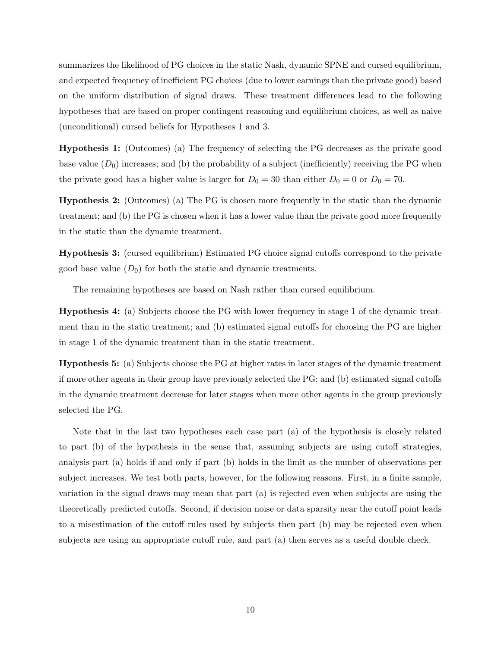summarizes the likelihood of PG choices in the static Nash, dynamic SPNE and cursed equilibrium, and expected frequency of inefficient PG choices (due to lower earnings than the private good) based on the uniform distribution of signal draws. These treatment differences lead to the following hypotheses that are based on proper contingent reasoning and equilibrium choices, as well as naive (unconditional) cursed beliefs for Hypotheses 1 and 3.

Hypothesis 1: (Outcomes) (a) The frequency of selecting the PG decreases as the private good base value  $(D_0)$  increases; and (b) the probability of a subject (inefficiently) receiving the PG when the private good has a higher value is larger for  $D_0 = 30$  than either  $D_0 = 0$  or  $D_0 = 70$ .

Hypothesis 2: (Outcomes) (a) The PG is chosen more frequently in the static than the dynamic treatment; and (b) the PG is chosen when it has a lower value than the private good more frequently in the static than the dynamic treatment.

Hypothesis 3: (cursed equilibrium) Estimated PG choice signal cutoffs correspond to the private good base value  $(D_0)$  for both the static and dynamic treatments.

The remaining hypotheses are based on Nash rather than cursed equilibrium.

Hypothesis 4: (a) Subjects choose the PG with lower frequency in stage 1 of the dynamic treatment than in the static treatment; and (b) estimated signal cutoffs for choosing the PG are higher in stage 1 of the dynamic treatment than in the static treatment.

Hypothesis 5: (a) Subjects choose the PG at higher rates in later stages of the dynamic treatment if more other agents in their group have previously selected the PG; and (b) estimated signal cutoffs in the dynamic treatment decrease for later stages when more other agents in the group previously selected the PG.

Note that in the last two hypotheses each case part (a) of the hypothesis is closely related to part (b) of the hypothesis in the sense that, assuming subjects are using cutoff strategies, analysis part (a) holds if and only if part (b) holds in the limit as the number of observations per subject increases. We test both parts, however, for the following reasons. First, in a finite sample, variation in the signal draws may mean that part (a) is rejected even when subjects are using the theoretically predicted cutoffs. Second, if decision noise or data sparsity near the cutoff point leads to a misestimation of the cutoff rules used by subjects then part (b) may be rejected even when subjects are using an appropriate cutoff rule, and part (a) then serves as a useful double check.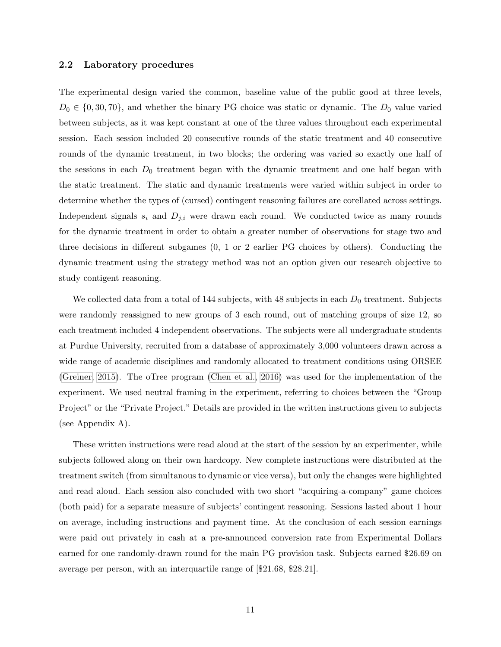## <span id="page-11-0"></span>2.2 Laboratory procedures

The experimental design varied the common, baseline value of the public good at three levels,  $D_0 \in \{0, 30, 70\}$ , and whether the binary PG choice was static or dynamic. The  $D_0$  value varied between subjects, as it was kept constant at one of the three values throughout each experimental session. Each session included 20 consecutive rounds of the static treatment and 40 consecutive rounds of the dynamic treatment, in two blocks; the ordering was varied so exactly one half of the sessions in each  $D_0$  treatment began with the dynamic treatment and one half began with the static treatment. The static and dynamic treatments were varied within subject in order to determine whether the types of (cursed) contingent reasoning failures are corellated across settings. Independent signals  $s_i$  and  $D_{j,i}$  were drawn each round. We conducted twice as many rounds for the dynamic treatment in order to obtain a greater number of observations for stage two and three decisions in different subgames (0, 1 or 2 earlier PG choices by others). Conducting the dynamic treatment using the strategy method was not an option given our research objective to study contigent reasoning.

We collected data from a total of 144 subjects, with 48 subjects in each  $D_0$  treatment. Subjects were randomly reassigned to new groups of 3 each round, out of matching groups of size 12, so each treatment included 4 independent observations. The subjects were all undergraduate students at Purdue University, recruited from a database of approximately 3,000 volunteers drawn across a wide range of academic disciplines and randomly allocated to treatment conditions using ORSEE [\(Greiner, 2015\)](#page-42-11). The oTree program [\(Chen et al., 2016\)](#page-41-9) was used for the implementation of the experiment. We used neutral framing in the experiment, referring to choices between the "Group Project" or the "Private Project." Details are provided in the written instructions given to subjects (see Appendix A).

These written instructions were read aloud at the start of the session by an experimenter, while subjects followed along on their own hardcopy. New complete instructions were distributed at the treatment switch (from simultanous to dynamic or vice versa), but only the changes were highlighted and read aloud. Each session also concluded with two short "acquiring-a-company" game choices (both paid) for a separate measure of subjects' contingent reasoning. Sessions lasted about 1 hour on average, including instructions and payment time. At the conclusion of each session earnings were paid out privately in cash at a pre-announced conversion rate from Experimental Dollars earned for one randomly-drawn round for the main PG provision task. Subjects earned \$26.69 on average per person, with an interquartile range of [\$21.68, \$28.21].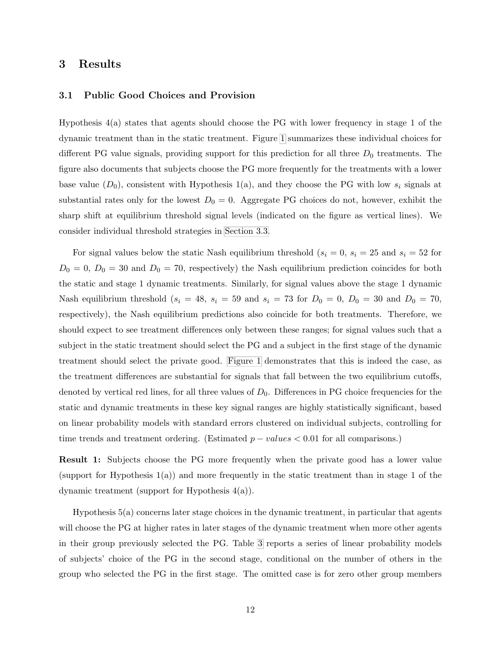## 3 Results

## 3.1 Public Good Choices and Provision

Hypothesis 4(a) states that agents should choose the PG with lower frequency in stage 1 of the dynamic treatment than in the static treatment. Figure [1](#page-13-0) summarizes these individual choices for different PG value signals, providing support for this prediction for all three  $D_0$  treatments. The figure also documents that subjects choose the PG more frequently for the treatments with a lower base value  $(D_0)$ , consistent with Hypothesis 1(a), and they choose the PG with low  $s_i$  signals at substantial rates only for the lowest  $D_0 = 0$ . Aggregate PG choices do not, however, exhibit the sharp shift at equilibrium threshold signal levels (indicated on the figure as vertical lines). We consider individual threshold strategies in [Section 3.3.](#page-19-0)

For signal values below the static Nash equilibrium threshold  $(s_i = 0, s_i = 25 \text{ and } s_i = 52 \text{ for } s_i = 52 \text{ and } s_i = 52 \text{ for } s_i = 52 \text{ and } s_i = 52 \text{ for } s_i = 52 \text{ for } s_i = 52 \text{ for } s_i = 52 \text{ for } s_i = 52 \text{ for } s_i = 52 \text{ for } s_i = 52 \text{ for } s_i = 52 \text{ for } s_i = 52 \text{$  $D_0 = 0$ ,  $D_0 = 30$  and  $D_0 = 70$ , respectively) the Nash equilibrium prediction coincides for both the static and stage 1 dynamic treatments. Similarly, for signal values above the stage 1 dynamic Nash equilibrium threshold  $(s_i = 48, s_i = 59 \text{ and } s_i = 73 \text{ for } D_0 = 0, D_0 = 30 \text{ and } D_0 = 70,$ respectively), the Nash equilibrium predictions also coincide for both treatments. Therefore, we should expect to see treatment differences only between these ranges; for signal values such that a subject in the static treatment should select the PG and a subject in the first stage of the dynamic treatment should select the private good. [Figure 1](#page-13-0) demonstrates that this is indeed the case, as the treatment differences are substantial for signals that fall between the two equilibrium cutoffs, denoted by vertical red lines, for all three values of  $D_0$ . Differences in PG choice frequencies for the static and dynamic treatments in these key signal ranges are highly statistically significant, based on linear probability models with standard errors clustered on individual subjects, controlling for time trends and treatment ordering. (Estimated  $p - values < 0.01$  for all comparisons.)

Result 1: Subjects choose the PG more frequently when the private good has a lower value (support for Hypothesis 1(a)) and more frequently in the static treatment than in stage 1 of the dynamic treatment (support for Hypothesis 4(a)).

Hypothesis 5(a) concerns later stage choices in the dynamic treatment, in particular that agents will choose the PG at higher rates in later stages of the dynamic treatment when more other agents in their group previously selected the PG. Table [3](#page-14-0) reports a series of linear probability models of subjects' choice of the PG in the second stage, conditional on the number of others in the group who selected the PG in the first stage. The omitted case is for zero other group members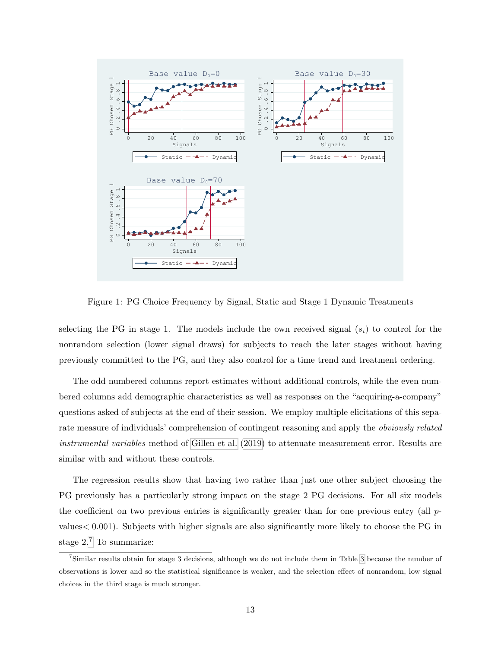<span id="page-13-2"></span>

<span id="page-13-0"></span>Figure 1: PG Choice Frequency by Signal, Static and Stage 1 Dynamic Treatments

selecting the PG in stage 1. The models include the own received signal  $(s_i)$  to control for the nonrandom selection (lower signal draws) for subjects to reach the later stages without having previously committed to the PG, and they also control for a time trend and treatment ordering.

The odd numbered columns report estimates without additional controls, while the even numbered columns add demographic characteristics as well as responses on the "acquiring-a-company" questions asked of subjects at the end of their session. We employ multiple elicitations of this separate measure of individuals' comprehension of contingent reasoning and apply the obviously related instrumental variables method of [Gillen et al.](#page-42-12) [\(2019\)](#page-42-12) to attenuate measurement error. Results are similar with and without these controls.

The regression results show that having two rather than just one other subject choosing the PG previously has a particularly strong impact on the stage 2 PG decisions. For all six models the coefficient on two previous entries is significantly greater than for one previous entry (all  $p$ values< 0.001). Subjects with higher signals are also significantly more likely to choose the PG in stage 2.[7](#page-13-1) To summarize:

<span id="page-13-1"></span><sup>7</sup>Similar results obtain for stage 3 decisions, although we do not include them in Table [3](#page-14-0) because the number of observations is lower and so the statistical significance is weaker, and the selection effect of nonrandom, low signal choices in the third stage is much stronger.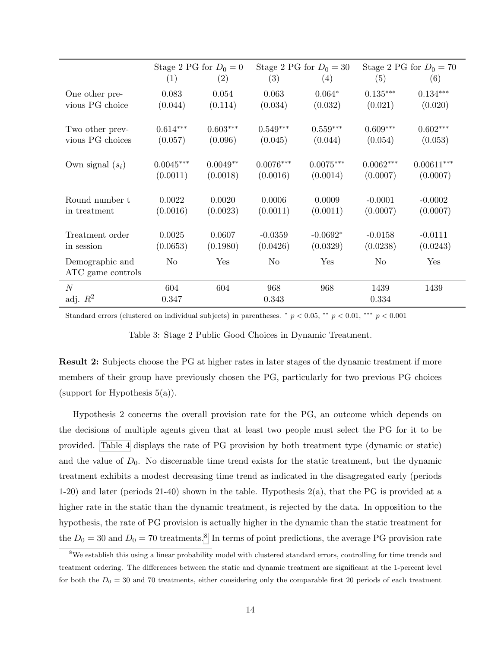|                    | Stage 2 PG for $D_0 = 0$ |            | Stage 2 PG for $D_0 = 30$ |             | Stage 2 PG for $D_0 = 70$ |              |
|--------------------|--------------------------|------------|---------------------------|-------------|---------------------------|--------------|
|                    | (1)                      | (2)        | (3)                       | (4)         | (5)                       | (6)          |
| One other pre-     | 0.083                    | 0.054      | 0.063                     | $0.064*$    | $0.135***$                | $0.134***$   |
| vious PG choice    | (0.044)                  | (0.114)    | (0.034)                   | (0.032)     | (0.021)                   | (0.020)      |
|                    |                          |            |                           |             |                           |              |
| Two other prev-    | $0.614***$               | $0.603***$ | $0.549***$                | $0.559***$  | $0.609***$                | $0.602***$   |
| vious PG choices   | (0.057)                  | (0.096)    | (0.045)                   | (0.044)     | (0.054)                   | (0.053)      |
|                    |                          |            |                           |             |                           |              |
| Own signal $(s_i)$ | $0.0045***$              | $0.0049**$ | $0.0076***$               | $0.0075***$ | $0.0062***$               | $0.00611***$ |
|                    | (0.0011)                 | (0.0018)   | (0.0016)                  | (0.0014)    | (0.0007)                  | (0.0007)     |
|                    |                          |            |                           |             |                           |              |
| Round number t     | 0.0022                   | 0.0020     | 0.0006                    | 0.0009      | $-0.0001$                 | $-0.0002$    |
| in treatment       | (0.0016)                 | (0.0023)   | (0.0011)                  | (0.0011)    | (0.0007)                  | (0.0007)     |
|                    |                          |            |                           |             |                           |              |
| Treatment order    | 0.0025                   | 0.0607     | $-0.0359$                 | $-0.0692*$  | $-0.0158$                 | $-0.0111$    |
| in session         | (0.0653)                 | (0.1980)   | (0.0426)                  | (0.0329)    | (0.0238)                  | (0.0243)     |
| Demographic and    | No                       | Yes        | N <sub>o</sub>            | Yes         | No                        | Yes          |
| ATC game controls  |                          |            |                           |             |                           |              |
| $\overline{N}$     | 604                      | 604        | 968                       | 968         | 1439                      | 1439         |
| adj. $R^2$         | 0.347                    |            | 0.343                     |             | 0.334                     |              |

Standard errors (clustered on individual subjects) in parentheses.  $\frac{*}{p}$   $p$  < 0.05,  $\frac{**}{p}$   $p$  < 0.001,  $\frac{***}{p}$  < 0.001

<span id="page-14-0"></span>Table 3: Stage 2 Public Good Choices in Dynamic Treatment.

Result 2: Subjects choose the PG at higher rates in later stages of the dynamic treatment if more members of their group have previously chosen the PG, particularly for two previous PG choices (support for Hypothesis  $5(a)$ ).

Hypothesis 2 concerns the overall provision rate for the PG, an outcome which depends on the decisions of multiple agents given that at least two people must select the PG for it to be provided. [Table 4](#page-15-0) displays the rate of PG provision by both treatment type (dynamic or static) and the value of  $D_0$ . No discernable time trend exists for the static treatment, but the dynamic treatment exhibits a modest decreasing time trend as indicated in the disagregated early (periods 1-20) and later (periods 21-40) shown in the table. Hypothesis 2(a), that the PG is provided at a higher rate in the static than the dynamic treatment, is rejected by the data. In opposition to the hypothesis, the rate of PG provision is actually higher in the dynamic than the static treatment for the  $D_0 = 30$  and  $D_0 = 70$  treatments.<sup>[8](#page-14-1)</sup> In terms of point predictions, the average PG provision rate

<span id="page-14-1"></span><sup>8</sup>We establish this using a linear probability model with clustered standard errors, controlling for time trends and treatment ordering. The differences between the static and dynamic treatment are significant at the 1-percent level for both the  $D_0 = 30$  and 70 treatments, either considering only the comparable first 20 periods of each treatment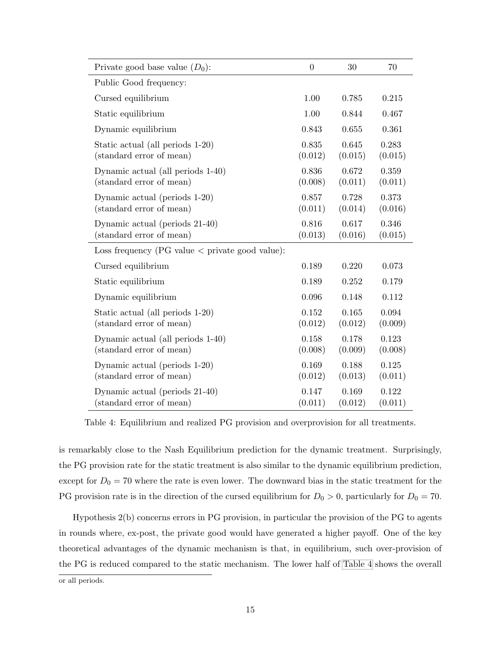| Private good base value $(D_0)$ :                             | $\theta$         | 30               | 70               |
|---------------------------------------------------------------|------------------|------------------|------------------|
| Public Good frequency:                                        |                  |                  |                  |
| Cursed equilibrium                                            | 1.00             | 0.785            | 0.215            |
| Static equilibrium                                            | 1.00             | 0.844            | 0.467            |
| Dynamic equilibrium                                           | 0.843            | 0.655            | 0.361            |
| Static actual (all periods 1-20)<br>(standard error of mean)  | 0.835<br>(0.012) | 0.645<br>(0.015) | 0.283<br>(0.015) |
| Dynamic actual (all periods 1-40)<br>(standard error of mean) | 0.836<br>(0.008) | 0.672<br>(0.011) | 0.359<br>(0.011) |
| Dynamic actual (periods 1-20)<br>(standard error of mean)     | 0.857<br>(0.011) | 0.728<br>(0.014) | 0.373<br>(0.016) |
| Dynamic actual (periods 21-40)<br>(standard error of mean)    | 0.816<br>(0.013) | 0.617<br>(0.016) | 0.346<br>(0.015) |
| Loss frequency (PG value $\langle$ private good value):       |                  |                  |                  |
| Cursed equilibrium                                            | 0.189            | 0.220            | 0.073            |
| Static equilibrium                                            | 0.189            | 0.252            | 0.179            |
| Dynamic equilibrium                                           | 0.096            | 0.148            | 0.112            |
| Static actual (all periods 1-20)<br>(standard error of mean)  | 0.152<br>(0.012) | 0.165<br>(0.012) | 0.094<br>(0.009) |
| Dynamic actual (all periods 1-40)<br>(standard error of mean) | 0.158<br>(0.008) | 0.178<br>(0.009) | 0.123<br>(0.008) |
| Dynamic actual (periods 1-20)<br>(standard error of mean)     | 0.169<br>(0.012) | 0.188<br>(0.013) | 0.125<br>(0.011) |
| Dynamic actual (periods 21-40)<br>(standard error of mean)    | 0.147<br>(0.011) | 0.169<br>(0.012) | 0.122<br>(0.011) |

<span id="page-15-0"></span>Table 4: Equilibrium and realized PG provision and overprovision for all treatments.

is remarkably close to the Nash Equilibrium prediction for the dynamic treatment. Surprisingly, the PG provision rate for the static treatment is also similar to the dynamic equilibrium prediction, except for  $D_0 = 70$  where the rate is even lower. The downward bias in the static treatment for the PG provision rate is in the direction of the cursed equilibrium for  $D_0 > 0$ , particularly for  $D_0 = 70$ .

Hypothesis 2(b) concerns errors in PG provision, in particular the provision of the PG to agents in rounds where, ex-post, the private good would have generated a higher payoff. One of the key theoretical advantages of the dynamic mechanism is that, in equilibrium, such over-provision of the PG is reduced compared to the static mechanism. The lower half of [Table 4](#page-15-0) shows the overall

or all periods.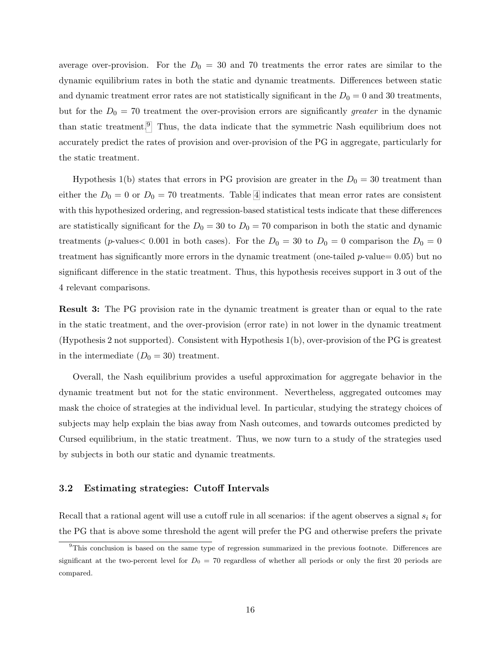average over-provision. For the  $D_0 = 30$  and 70 treatments the error rates are similar to the dynamic equilibrium rates in both the static and dynamic treatments. Differences between static and dynamic treatment error rates are not statistically significant in the  $D_0 = 0$  and 30 treatments, but for the  $D_0 = 70$  treatment the over-provision errors are significantly greater in the dynamic than static treatment.<sup>[9](#page-16-0)</sup> Thus, the data indicate that the symmetric Nash equilibrium does not accurately predict the rates of provision and over-provision of the PG in aggregate, particularly for the static treatment.

Hypothesis 1(b) states that errors in PG provision are greater in the  $D_0 = 30$  treatment than either the  $D_0 = 0$  or  $D_0 = 70$  treatments. Table [4](#page-15-0) indicates that mean error rates are consistent with this hypothesized ordering, and regression-based statistical tests indicate that these differences are statistically significant for the  $D_0 = 30$  to  $D_0 = 70$  comparison in both the static and dynamic treatments (p-values  $0.001$  in both cases). For the  $D_0 = 30$  to  $D_0 = 0$  comparison the  $D_0 = 0$ treatment has significantly more errors in the dynamic treatment (one-tailed  $p$ -value= 0.05) but no significant difference in the static treatment. Thus, this hypothesis receives support in 3 out of the 4 relevant comparisons.

Result 3: The PG provision rate in the dynamic treatment is greater than or equal to the rate in the static treatment, and the over-provision (error rate) in not lower in the dynamic treatment (Hypothesis 2 not supported). Consistent with Hypothesis 1(b), over-provision of the PG is greatest in the intermediate  $(D_0 = 30)$  treatment.

Overall, the Nash equilibrium provides a useful approximation for aggregate behavior in the dynamic treatment but not for the static environment. Nevertheless, aggregated outcomes may mask the choice of strategies at the individual level. In particular, studying the strategy choices of subjects may help explain the bias away from Nash outcomes, and towards outcomes predicted by Cursed equilibrium, in the static treatment. Thus, we now turn to a study of the strategies used by subjects in both our static and dynamic treatments.

#### <span id="page-16-1"></span>3.2 Estimating strategies: Cutoff Intervals

Recall that a rational agent will use a cutoff rule in all scenarios: if the agent observes a signal  $s_i$  for the PG that is above some threshold the agent will prefer the PG and otherwise prefers the private

<span id="page-16-0"></span><sup>&</sup>lt;sup>9</sup>This conclusion is based on the same type of regression summarized in the previous footnote. Differences are significant at the two-percent level for  $D_0 = 70$  regardless of whether all periods or only the first 20 periods are compared.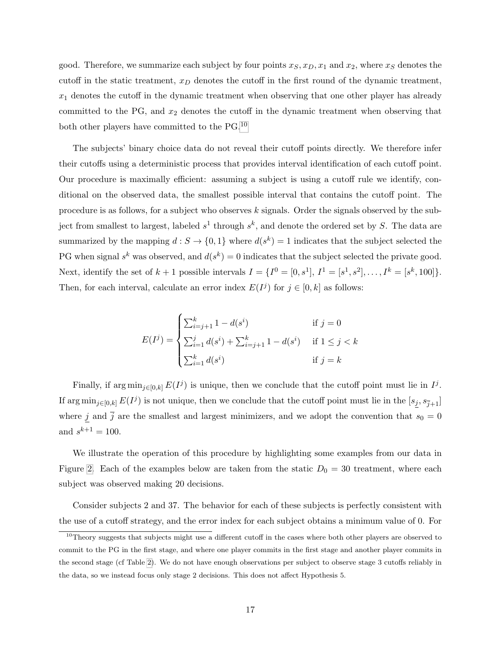good. Therefore, we summarize each subject by four points  $x_S, x_D, x_1$  and  $x_2$ , where  $x_S$  denotes the cutoff in the static treatment,  $x_D$  denotes the cutoff in the first round of the dynamic treatment,  $x_1$  denotes the cutoff in the dynamic treatment when observing that one other player has already committed to the PG, and  $x_2$  denotes the cutoff in the dynamic treatment when observing that both other players have committed to the PG.<sup>[10](#page-17-0)</sup>

The subjects' binary choice data do not reveal their cutoff points directly. We therefore infer their cutoffs using a deterministic process that provides interval identification of each cutoff point. Our procedure is maximally efficient: assuming a subject is using a cutoff rule we identify, conditional on the observed data, the smallest possible interval that contains the cutoff point. The procedure is as follows, for a subject who observes  $k$  signals. Order the signals observed by the subject from smallest to largest, labeled  $s^1$  through  $s^k$ , and denote the ordered set by S. The data are summarized by the mapping  $d: S \to \{0,1\}$  where  $d(s^k) = 1$  indicates that the subject selected the PG when signal  $s^k$  was observed, and  $d(s^k) = 0$  indicates that the subject selected the private good. Next, identify the set of  $k + 1$  possible intervals  $I = \{I^0 = [0, s^1], I^1 = [s^1, s^2], \ldots, I^k = [s^k, 100]\}.$ Then, for each interval, calculate an error index  $E(I^j)$  for  $j \in [0, k]$  as follows:

$$
E(I^j) = \begin{cases} \sum_{i=j+1}^k 1 - d(s^i) & \text{if } j = 0\\ \sum_{i=1}^j d(s^i) + \sum_{i=j+1}^k 1 - d(s^i) & \text{if } 1 \le j < k\\ \sum_{i=1}^k d(s^i) & \text{if } j = k \end{cases}
$$

Finally, if  $\arg \min_{j \in [0,k]} E(I^j)$  is unique, then we conclude that the cutoff point must lie in  $I^j$ . If  $\arg \min_{j \in [0,k]} E(I^j)$  is not unique, then we conclude that the cutoff point must lie in the  $[s_j, s_{\overline{j}+1}]$ where j and  $\bar{j}$  are the smallest and largest minimizers, and we adopt the convention that  $s_0 = 0$ and  $s^{k+1} = 100$ .

We illustrate the operation of this procedure by highlighting some examples from our data in Figure [2.](#page-18-0) Each of the examples below are taken from the static  $D_0 = 30$  treatment, where each subject was observed making 20 decisions.

Consider subjects 2 and 37. The behavior for each of these subjects is perfectly consistent with the use of a cutoff strategy, and the error index for each subject obtains a minimum value of 0. For

<span id="page-17-0"></span> $10$ Theory suggests that subjects might use a different cutoff in the cases where both other players are observed to commit to the PG in the first stage, and where one player commits in the first stage and another player commits in the second stage (cf Table [2\)](#page-9-0). We do not have enough observations per subject to observe stage 3 cutoffs reliably in the data, so we instead focus only stage 2 decisions. This does not affect Hypothesis 5.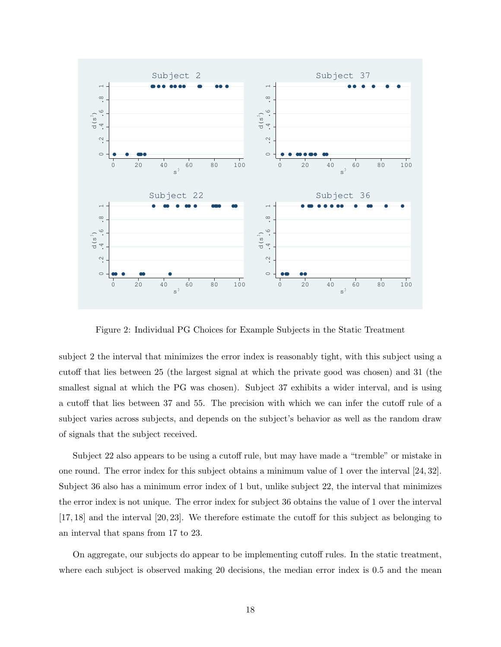

<span id="page-18-0"></span>Figure 2: Individual PG Choices for Example Subjects in the Static Treatment

subject 2 the interval that minimizes the error index is reasonably tight, with this subject using a cutoff that lies between 25 (the largest signal at which the private good was chosen) and 31 (the smallest signal at which the PG was chosen). Subject 37 exhibits a wider interval, and is using a cutoff that lies between 37 and 55. The precision with which we can infer the cutoff rule of a subject varies across subjects, and depends on the subject's behavior as well as the random draw of signals that the subject received.

Subject 22 also appears to be using a cutoff rule, but may have made a "tremble" or mistake in one round. The error index for this subject obtains a minimum value of 1 over the interval [24, 32]. Subject 36 also has a minimum error index of 1 but, unlike subject 22, the interval that minimizes the error index is not unique. The error index for subject 36 obtains the value of 1 over the interval [17, 18] and the interval [20, 23]. We therefore estimate the cutoff for this subject as belonging to an interval that spans from 17 to 23.

On aggregate, our subjects do appear to be implementing cutoff rules. In the static treatment, where each subject is observed making 20 decisions, the median error index is 0.5 and the mean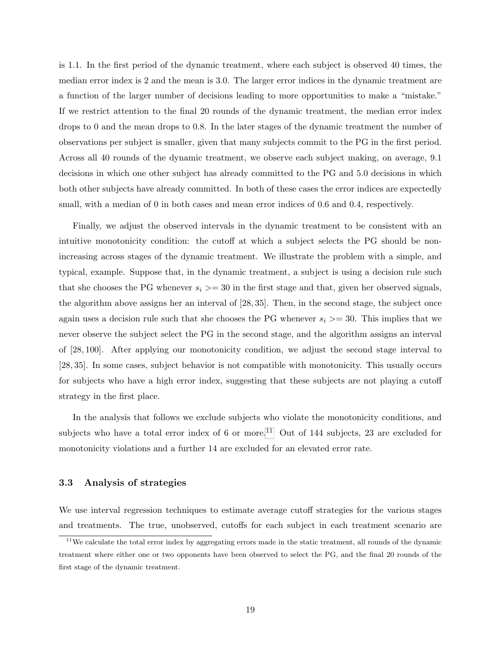is 1.1. In the first period of the dynamic treatment, where each subject is observed 40 times, the median error index is 2 and the mean is 3.0. The larger error indices in the dynamic treatment are a function of the larger number of decisions leading to more opportunities to make a "mistake." If we restrict attention to the final 20 rounds of the dynamic treatment, the median error index drops to 0 and the mean drops to 0.8. In the later stages of the dynamic treatment the number of observations per subject is smaller, given that many subjects commit to the PG in the first period. Across all 40 rounds of the dynamic treatment, we observe each subject making, on average, 9.1 decisions in which one other subject has already committed to the PG and 5.0 decisions in which both other subjects have already committed. In both of these cases the error indices are expectedly small, with a median of 0 in both cases and mean error indices of 0.6 and 0.4, respectively.

Finally, we adjust the observed intervals in the dynamic treatment to be consistent with an intuitive monotonicity condition: the cutoff at which a subject selects the PG should be nonincreasing across stages of the dynamic treatment. We illustrate the problem with a simple, and typical, example. Suppose that, in the dynamic treatment, a subject is using a decision rule such that she chooses the PG whenever  $s_i \geq 30$  in the first stage and that, given her observed signals, the algorithm above assigns her an interval of [28, 35]. Then, in the second stage, the subject once again uses a decision rule such that she chooses the PG whenever  $s_i \geq 30$ . This implies that we never observe the subject select the PG in the second stage, and the algorithm assigns an interval of [28, 100]. After applying our monotonicity condition, we adjust the second stage interval to [28, 35]. In some cases, subject behavior is not compatible with monotonicity. This usually occurs for subjects who have a high error index, suggesting that these subjects are not playing a cutoff strategy in the first place.

In the analysis that follows we exclude subjects who violate the monotonicity conditions, and subjects who have a total error index of 6 or more.<sup>[11](#page-19-1)</sup> Out of 144 subjects, 23 are excluded for monotonicity violations and a further 14 are excluded for an elevated error rate.

#### <span id="page-19-0"></span>3.3 Analysis of strategies

We use interval regression techniques to estimate average cutoff strategies for the various stages and treatments. The true, unobserved, cutoffs for each subject in each treatment scenario are

<span id="page-19-1"></span><sup>&</sup>lt;sup>11</sup>We calculate the total error index by aggregating errors made in the static treatment, all rounds of the dynamic treatment where either one or two opponents have been observed to select the PG, and the final 20 rounds of the first stage of the dynamic treatment.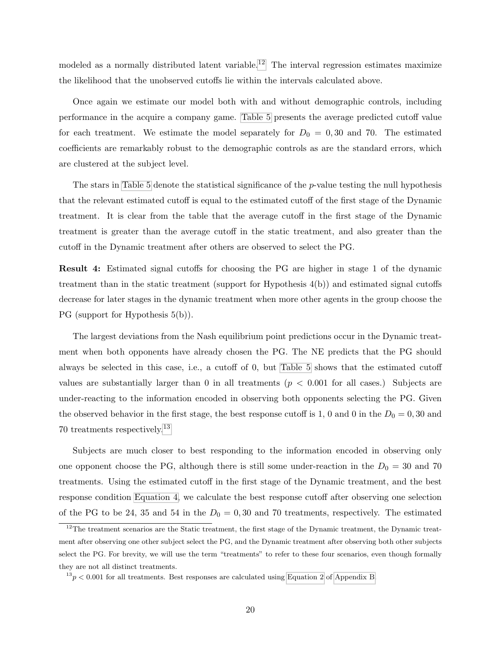modeled as a normally distributed latent variable.<sup>[12](#page-20-0)</sup> The interval regression estimates maximize the likelihood that the unobserved cutoffs lie within the intervals calculated above.

Once again we estimate our model both with and without demographic controls, including performance in the acquire a company game. [Table 5](#page-21-0) presents the average predicted cutoff value for each treatment. We estimate the model separately for  $D_0 = 0,30$  and 70. The estimated coefficients are remarkably robust to the demographic controls as are the standard errors, which are clustered at the subject level.

The stars in [Table 5](#page-21-0) denote the statistical significance of the  $p$ -value testing the null hypothesis that the relevant estimated cutoff is equal to the estimated cutoff of the first stage of the Dynamic treatment. It is clear from the table that the average cutoff in the first stage of the Dynamic treatment is greater than the average cutoff in the static treatment, and also greater than the cutoff in the Dynamic treatment after others are observed to select the PG.

Result 4: Estimated signal cutoffs for choosing the PG are higher in stage 1 of the dynamic treatment than in the static treatment (support for Hypothesis 4(b)) and estimated signal cutoffs decrease for later stages in the dynamic treatment when more other agents in the group choose the PG (support for Hypothesis 5(b)).

The largest deviations from the Nash equilibrium point predictions occur in the Dynamic treatment when both opponents have already chosen the PG. The NE predicts that the PG should always be selected in this case, i.e., a cutoff of 0, but [Table 5](#page-21-0) shows that the estimated cutoff values are substantially larger than 0 in all treatments  $(p < 0.001$  for all cases.) Subjects are under-reacting to the information encoded in observing both opponents selecting the PG. Given the observed behavior in the first stage, the best response cutoff is 1, 0 and 0 in the  $D_0 = 0, 30$  and 70 treatments respectively.[13](#page-20-1)

Subjects are much closer to best responding to the information encoded in observing only one opponent choose the PG, although there is still some under-reaction in the  $D_0 = 30$  and 70 treatments. Using the estimated cutoff in the first stage of the Dynamic treatment, and the best response condition [Equation 4,](#page-39-0) we calculate the best response cutoff after observing one selection of the PG to be 24, 35 and 54 in the  $D_0 = 0,30$  and 70 treatments, respectively. The estimated

<span id="page-20-0"></span> $12$ The treatment scenarios are the Static treatment, the first stage of the Dynamic treatment, the Dynamic treatment after observing one other subject select the PG, and the Dynamic treatment after observing both other subjects select the PG. For brevity, we will use the term "treatments" to refer to these four scenarios, even though formally they are not all distinct treatments.

<span id="page-20-1"></span> $13p < 0.001$  for all treatments. Best responses are calculated using [Equation 2](#page-38-0) of [Appendix B.](#page-34-0)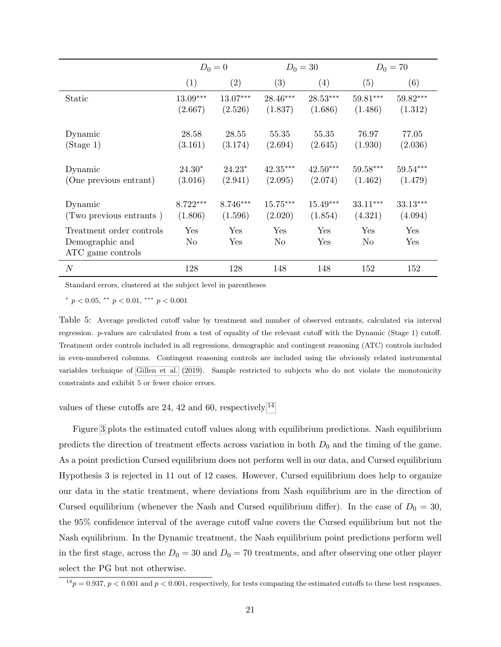<span id="page-21-2"></span>

|                                                                  | $D_0 = 0$  |            | $D_0 = 30$ |            | $D_0 = 70$                    |            |
|------------------------------------------------------------------|------------|------------|------------|------------|-------------------------------|------------|
|                                                                  | (1)        | (2)        | (3)        | (4)        | (5)                           | (6)        |
| Static                                                           | $13.09***$ | $13.07***$ | 28.46***   | $28.53***$ | $59.81***$                    | $59.82***$ |
|                                                                  | (2.667)    | (2.526)    | (1.837)    | (1.686)    | (1.486)                       | (1.312)    |
| Dynamic                                                          | 28.58      | 28.55      | 55.35      | 55.35      | 76.97                         | 77.05      |
| (Stage 1)                                                        | (3.161)    | (3.174)    | (2.694)    | (2.645)    | (1.930)                       | (2.036)    |
| Dynamic                                                          | $24.30*$   | $24.23*$   | $42.35***$ | $42.50***$ | $59.58***$                    | $59.54***$ |
| (One previous entrant)                                           | (3.016)    | (2.941)    | (2.095)    | (2.074)    | (1.462)                       | (1.479)    |
| Dynamic                                                          | $8.722***$ | 8.746***   | $15.75***$ | $15.49***$ | 33.11***                      | 33.13***   |
| (Two previous entrants)                                          | (1.806)    | (1.596)    | (2.020)    | (1.854)    | (4.321)                       | (4.094)    |
| Treatment order controls<br>Demographic and<br>ATC game controls | Yes<br>No  | Yes<br>Yes | Yes<br>No  | Yes<br>Yes | ${\rm Yes}$<br>N <sub>o</sub> | Yes<br>Yes |
| $\boldsymbol{N}$                                                 | 128        | 128        | 148        | 148        | 152                           | 152        |

Standard errors, clustered at the subject level in parentheses

<span id="page-21-0"></span>\*  $p < 0.05$ , \*\*  $p < 0.01$ , \*\*\*  $p < 0.001$ 

Table 5: Average predicted cutoff value by treatment and number of observed entrants, calculated via interval regression. p-values are calculated from a test of equality of the relevant cutoff with the Dynamic (Stage 1) cutoff. Treatment order controls included in all regressions, demographic and contingent reasoning (ATC) controls included in even-numbered columns. Contingent reasoning controls are included using the obviously related instrumental variables technique of [Gillen et al.](#page-42-12) [\(2019\)](#page-42-12). Sample restricted to subjects who do not violate the monotonicity constraints and exhibit 5 or fewer choice errors.

values of these cutoffs are 24, 42 and 60, respectively.[14](#page-21-1)

Figure [3](#page-22-0) plots the estimated cutoff values along with equilibrium predictions. Nash equilibrium predicts the direction of treatment effects across variation in both  $D_0$  and the timing of the game. As a point prediction Cursed equilibrium does not perform well in our data, and Cursed equilibrium Hypothesis 3 is rejected in 11 out of 12 cases. However, Cursed equilibrium does help to organize our data in the static treatment, where deviations from Nash equilibrium are in the direction of Cursed equilibrium (whenever the Nash and Cursed equilibrium differ). In the case of  $D_0 = 30$ , the 95% confidence interval of the average cutoff value covers the Cursed equilibrium but not the Nash equilibrium. In the Dynamic treatment, the Nash equilibrium point predictions perform well in the first stage, across the  $D_0 = 30$  and  $D_0 = 70$  treatments, and after observing one other player select the PG but not otherwise.

<span id="page-21-1"></span> $1^4p = 0.937$ ,  $p < 0.001$  and  $p < 0.001$ , respectively, for tests comparing the estimated cutoffs to these best responses.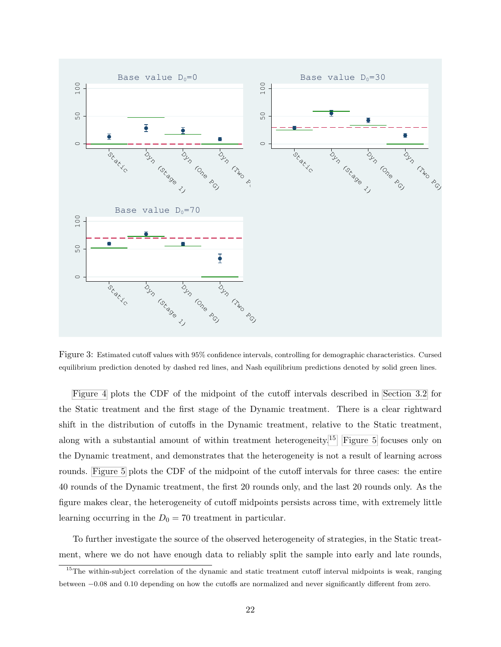

<span id="page-22-0"></span>Figure 3: Estimated cutoff values with 95% confidence intervals, controlling for demographic characteristics. Cursed equilibrium prediction denoted by dashed red lines, and Nash equilibrium predictions denoted by solid green lines.

[Figure 4](#page-23-0) plots the CDF of the midpoint of the cutoff intervals described in [Section 3.2](#page-16-1) for the Static treatment and the first stage of the Dynamic treatment. There is a clear rightward shift in the distribution of cutoffs in the Dynamic treatment, relative to the Static treatment, along with a substantial amount of within treatment heterogeneity.[15](#page-22-1) [Figure 5](#page-24-0) focuses only on the Dynamic treatment, and demonstrates that the heterogeneity is not a result of learning across rounds. [Figure 5](#page-24-0) plots the CDF of the midpoint of the cutoff intervals for three cases: the entire 40 rounds of the Dynamic treatment, the first 20 rounds only, and the last 20 rounds only. As the figure makes clear, the heterogeneity of cutoff midpoints persists across time, with extremely little learning occurring in the  $D_0 = 70$  treatment in particular.

To further investigate the source of the observed heterogeneity of strategies, in the Static treatment, where we do not have enough data to reliably split the sample into early and late rounds,

<span id="page-22-1"></span> $15$ The within-subject correlation of the dynamic and static treatment cutoff interval midpoints is weak, ranging between −0.08 and 0.10 depending on how the cutoffs are normalized and never significantly different from zero.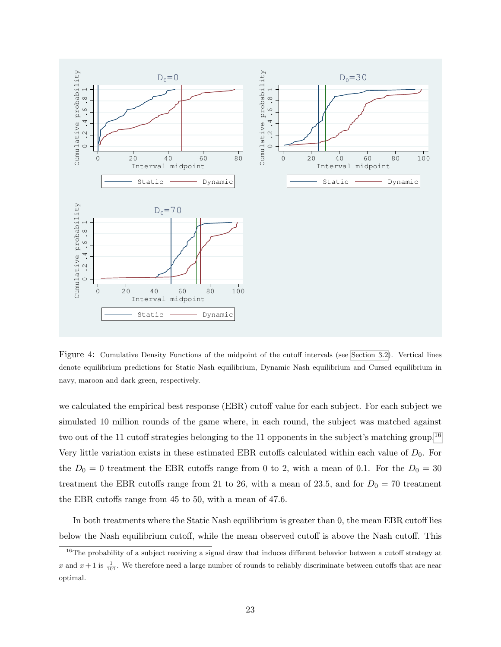

<span id="page-23-0"></span>Figure 4: Cumulative Density Functions of the midpoint of the cutoff intervals (see [Section 3.2\)](#page-16-1). Vertical lines denote equilibrium predictions for Static Nash equilibrium, Dynamic Nash equilibrium and Cursed equilibrium in navy, maroon and dark green, respectively.

we calculated the empirical best response (EBR) cutoff value for each subject. For each subject we simulated 10 million rounds of the game where, in each round, the subject was matched against two out of the 11 cutoff strategies belonging to the 11 opponents in the subject's matching group.<sup>[16](#page-23-1)</sup> Very little variation exists in these estimated EBR cutoffs calculated within each value of  $D_0$ . For the  $D_0 = 0$  treatment the EBR cutoffs range from 0 to 2, with a mean of 0.1. For the  $D_0 = 30$ treatment the EBR cutoffs range from 21 to 26, with a mean of 23.5, and for  $D_0 = 70$  treatment the EBR cutoffs range from 45 to 50, with a mean of 47.6.

In both treatments where the Static Nash equilibrium is greater than 0, the mean EBR cutoff lies below the Nash equilibrium cutoff, while the mean observed cutoff is above the Nash cutoff. This

<span id="page-23-1"></span><sup>&</sup>lt;sup>16</sup>The probability of a subject receiving a signal draw that induces different behavior between a cutoff strategy at x and  $x + 1$  is  $\frac{1}{101}$ . We therefore need a large number of rounds to reliably discriminate between cutoffs that are near optimal.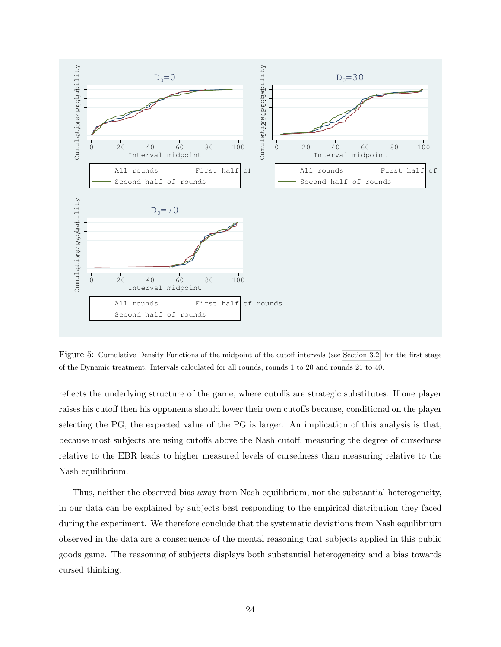

<span id="page-24-0"></span>Figure 5: Cumulative Density Functions of the midpoint of the cutoff intervals (see [Section 3.2\)](#page-16-1) for the first stage of the Dynamic treatment. Intervals calculated for all rounds, rounds 1 to 20 and rounds 21 to 40.

reflects the underlying structure of the game, where cutoffs are strategic substitutes. If one player raises his cutoff then his opponents should lower their own cutoffs because, conditional on the player selecting the PG, the expected value of the PG is larger. An implication of this analysis is that, because most subjects are using cutoffs above the Nash cutoff, measuring the degree of cursedness relative to the EBR leads to higher measured levels of cursedness than measuring relative to the Nash equilibrium.

Thus, neither the observed bias away from Nash equilibrium, nor the substantial heterogeneity, in our data can be explained by subjects best responding to the empirical distribution they faced during the experiment. We therefore conclude that the systematic deviations from Nash equilibrium observed in the data are a consequence of the mental reasoning that subjects applied in this public goods game. The reasoning of subjects displays both substantial heterogeneity and a bias towards cursed thinking.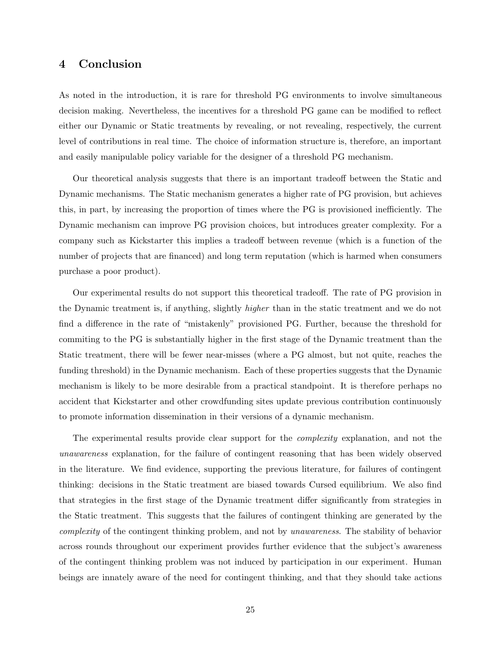## 4 Conclusion

As noted in the introduction, it is rare for threshold PG environments to involve simultaneous decision making. Nevertheless, the incentives for a threshold PG game can be modified to reflect either our Dynamic or Static treatments by revealing, or not revealing, respectively, the current level of contributions in real time. The choice of information structure is, therefore, an important and easily manipulable policy variable for the designer of a threshold PG mechanism.

Our theoretical analysis suggests that there is an important tradeoff between the Static and Dynamic mechanisms. The Static mechanism generates a higher rate of PG provision, but achieves this, in part, by increasing the proportion of times where the PG is provisioned inefficiently. The Dynamic mechanism can improve PG provision choices, but introduces greater complexity. For a company such as Kickstarter this implies a tradeoff between revenue (which is a function of the number of projects that are financed) and long term reputation (which is harmed when consumers purchase a poor product).

Our experimental results do not support this theoretical tradeoff. The rate of PG provision in the Dynamic treatment is, if anything, slightly higher than in the static treatment and we do not find a difference in the rate of "mistakenly" provisioned PG. Further, because the threshold for commiting to the PG is substantially higher in the first stage of the Dynamic treatment than the Static treatment, there will be fewer near-misses (where a PG almost, but not quite, reaches the funding threshold) in the Dynamic mechanism. Each of these properties suggests that the Dynamic mechanism is likely to be more desirable from a practical standpoint. It is therefore perhaps no accident that Kickstarter and other crowdfunding sites update previous contribution continuously to promote information dissemination in their versions of a dynamic mechanism.

The experimental results provide clear support for the complexity explanation, and not the unawareness explanation, for the failure of contingent reasoning that has been widely observed in the literature. We find evidence, supporting the previous literature, for failures of contingent thinking: decisions in the Static treatment are biased towards Cursed equilibrium. We also find that strategies in the first stage of the Dynamic treatment differ significantly from strategies in the Static treatment. This suggests that the failures of contingent thinking are generated by the complexity of the contingent thinking problem, and not by unawareness. The stability of behavior across rounds throughout our experiment provides further evidence that the subject's awareness of the contingent thinking problem was not induced by participation in our experiment. Human beings are innately aware of the need for contingent thinking, and that they should take actions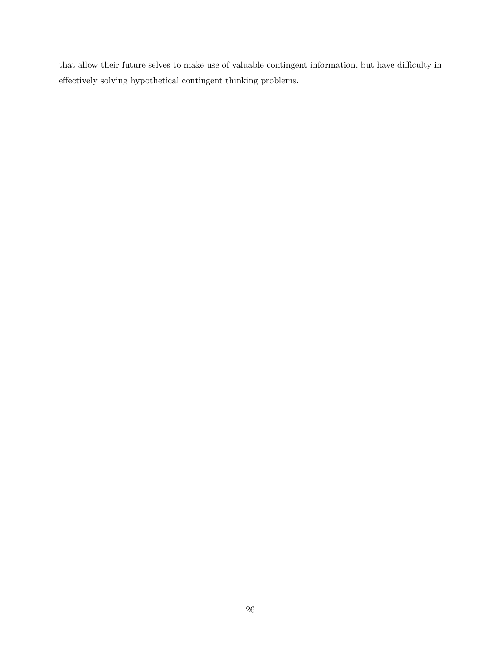that allow their future selves to make use of valuable contingent information, but have difficulty in effectively solving hypothetical contingent thinking problems.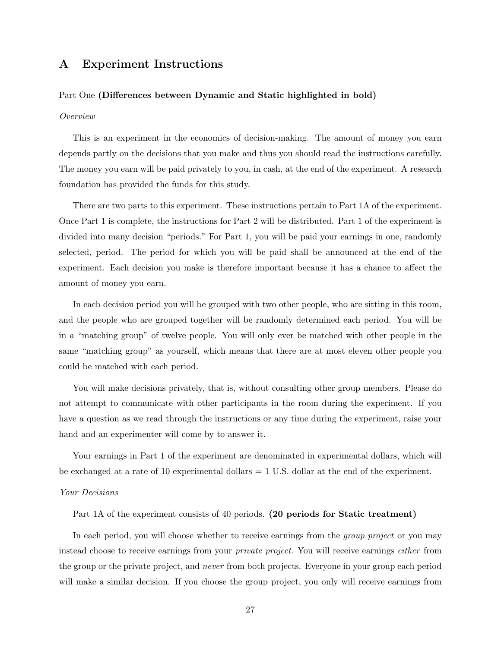## A Experiment Instructions

### Part One (Differences between Dynamic and Static highlighted in bold)

### Overview

This is an experiment in the economics of decision-making. The amount of money you earn depends partly on the decisions that you make and thus you should read the instructions carefully. The money you earn will be paid privately to you, in cash, at the end of the experiment. A research foundation has provided the funds for this study.

There are two parts to this experiment. These instructions pertain to Part 1A of the experiment. Once Part 1 is complete, the instructions for Part 2 will be distributed. Part 1 of the experiment is divided into many decision "periods." For Part 1, you will be paid your earnings in one, randomly selected, period. The period for which you will be paid shall be announced at the end of the experiment. Each decision you make is therefore important because it has a chance to affect the amount of money you earn.

In each decision period you will be grouped with two other people, who are sitting in this room, and the people who are grouped together will be randomly determined each period. You will be in a "matching group" of twelve people. You will only ever be matched with other people in the same "matching group" as yourself, which means that there are at most eleven other people you could be matched with each period.

You will make decisions privately, that is, without consulting other group members. Please do not attempt to communicate with other participants in the room during the experiment. If you have a question as we read through the instructions or any time during the experiment, raise your hand and an experimenter will come by to answer it.

Your earnings in Part 1 of the experiment are denominated in experimental dollars, which will be exchanged at a rate of 10 experimental dollars = 1 U.S. dollar at the end of the experiment.

#### Your Decisions

Part 1A of the experiment consists of 40 periods. (20 periods for Static treatment)

In each period, you will choose whether to receive earnings from the *group project* or you may instead choose to receive earnings from your private project. You will receive earnings either from the group or the private project, and never from both projects. Everyone in your group each period will make a similar decision. If you choose the group project, you only will receive earnings from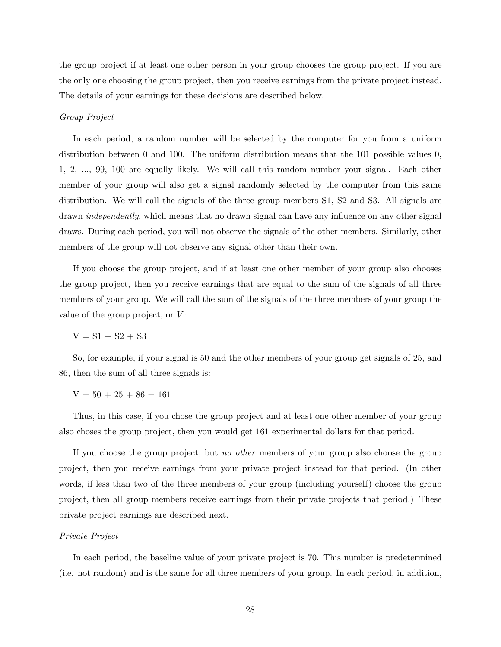the group project if at least one other person in your group chooses the group project. If you are the only one choosing the group project, then you receive earnings from the private project instead. The details of your earnings for these decisions are described below.

#### Group Project

In each period, a random number will be selected by the computer for you from a uniform distribution between 0 and 100. The uniform distribution means that the 101 possible values 0, 1, 2, ..., 99, 100 are equally likely. We will call this random number your signal. Each other member of your group will also get a signal randomly selected by the computer from this same distribution. We will call the signals of the three group members S1, S2 and S3. All signals are drawn *independently*, which means that no drawn signal can have any influence on any other signal draws. During each period, you will not observe the signals of the other members. Similarly, other members of the group will not observe any signal other than their own.

If you choose the group project, and if at least one other member of your group also chooses the group project, then you receive earnings that are equal to the sum of the signals of all three members of your group. We will call the sum of the signals of the three members of your group the value of the group project, or  $V$ :

 $V = S1 + S2 + S3$ 

So, for example, if your signal is 50 and the other members of your group get signals of 25, and 86, then the sum of all three signals is:

 $V = 50 + 25 + 86 = 161$ 

Thus, in this case, if you chose the group project and at least one other member of your group also choses the group project, then you would get 161 experimental dollars for that period.

If you choose the group project, but no other members of your group also choose the group project, then you receive earnings from your private project instead for that period. (In other words, if less than two of the three members of your group (including yourself) choose the group project, then all group members receive earnings from their private projects that period.) These private project earnings are described next.

#### Private Project

In each period, the baseline value of your private project is 70. This number is predetermined (i.e. not random) and is the same for all three members of your group. In each period, in addition,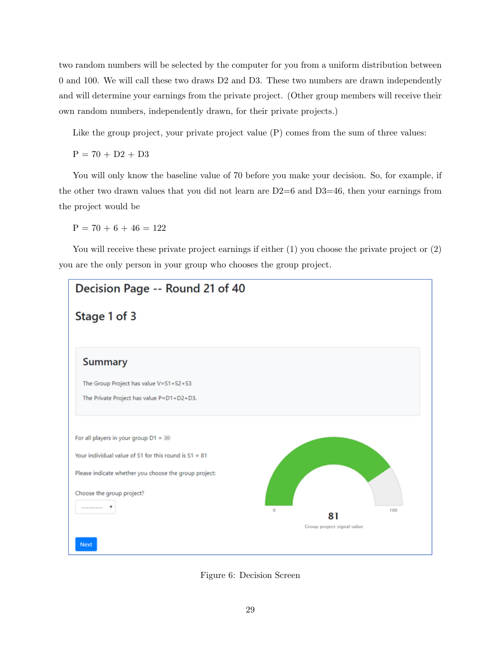two random numbers will be selected by the computer for you from a uniform distribution between 0 and 100. We will call these two draws D2 and D3. These two numbers are drawn independently and will determine your earnings from the private project. (Other group members will receive their own random numbers, independently drawn, for their private projects.)

Like the group project, your private project value (P) comes from the sum of three values:

 $P = 70 + D2 + D3$ 

You will only know the baseline value of 70 before you make your decision. So, for example, if the other two drawn values that you did not learn are  $D2=6$  and  $D3=46$ , then your earnings from the project would be

 $P = 70 + 6 + 46 = 122$ 

You will receive these private project earnings if either  $(1)$  you choose the private project or  $(2)$ you are the only person in your group who chooses the group project.



<span id="page-29-0"></span>Figure 6: Decision Screen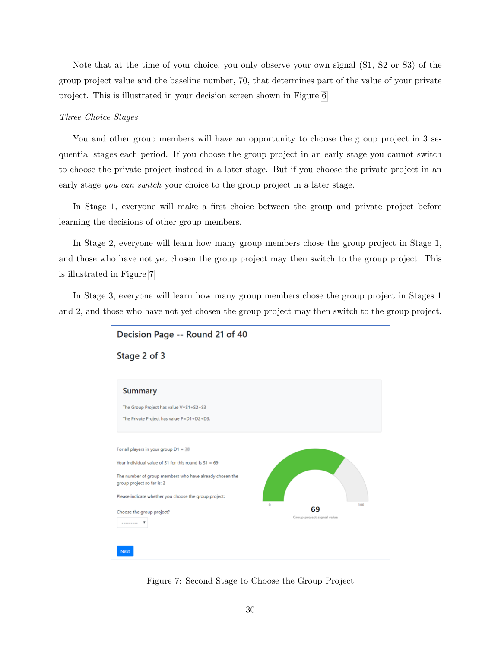Note that at the time of your choice, you only observe your own signal (S1, S2 or S3) of the group project value and the baseline number, 70, that determines part of the value of your private project. This is illustrated in your decision screen shown in Figure [6.](#page-29-0)

## Three Choice Stages

You and other group members will have an opportunity to choose the group project in 3 sequential stages each period. If you choose the group project in an early stage you cannot switch to choose the private project instead in a later stage. But if you choose the private project in an early stage you can switch your choice to the group project in a later stage.

In Stage 1, everyone will make a first choice between the group and private project before learning the decisions of other group members.

In Stage 2, everyone will learn how many group members chose the group project in Stage 1, and those who have not yet chosen the group project may then switch to the group project. This is illustrated in Figure [7.](#page-30-0)

In Stage 3, everyone will learn how many group members chose the group project in Stages 1 and 2, and those who have not yet chosen the group project may then switch to the group project.



<span id="page-30-0"></span>Figure 7: Second Stage to Choose the Group Project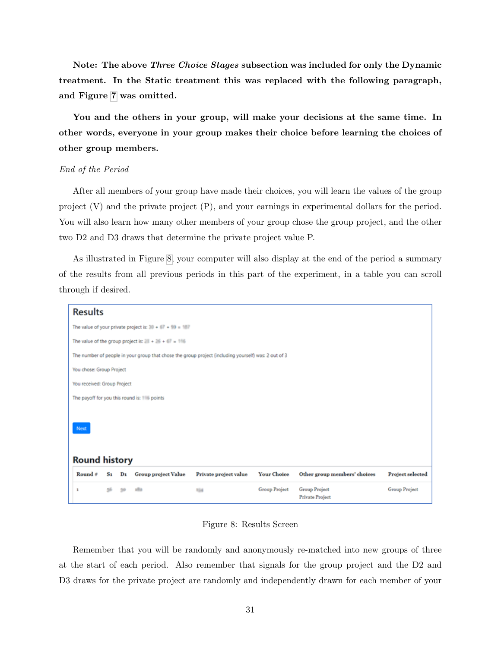Note: The above Three Choice Stages subsection was included for only the Dynamic treatment. In the Static treatment this was replaced with the following paragraph, and Figure [7](#page-30-0) was omitted.

You and the others in your group, will make your decisions at the same time. In other words, everyone in your group makes their choice before learning the choices of other group members.

## End of the Period

After all members of your group have made their choices, you will learn the values of the group project (V) and the private project (P), and your earnings in experimental dollars for the period. You will also learn how many other members of your group chose the group project, and the other two D2 and D3 draws that determine the private project value P.

As illustrated in Figure [8,](#page-31-0) your computer will also display at the end of the period a summary of the results from all previous periods in this part of the experiment, in a table you can scroll through if desired.

## **Results**



<span id="page-31-0"></span>Figure 8: Results Screen

Remember that you will be randomly and anonymously re-matched into new groups of three at the start of each period. Also remember that signals for the group project and the D2 and D3 draws for the private project are randomly and independently drawn for each member of your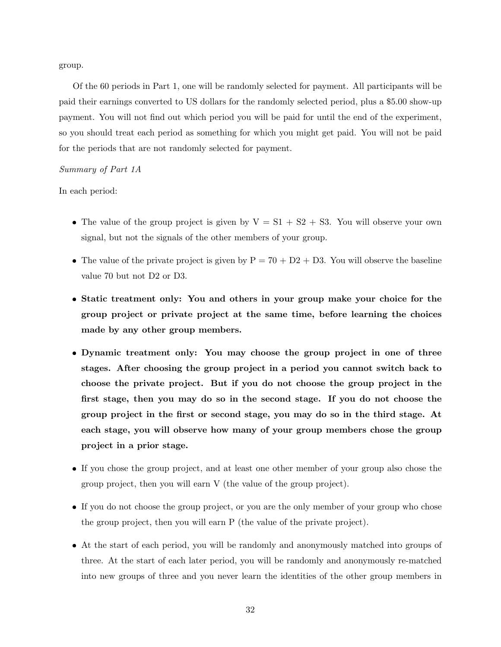group.

Of the 60 periods in Part 1, one will be randomly selected for payment. All participants will be paid their earnings converted to US dollars for the randomly selected period, plus a \$5.00 show-up payment. You will not find out which period you will be paid for until the end of the experiment, so you should treat each period as something for which you might get paid. You will not be paid for the periods that are not randomly selected for payment.

## Summary of Part 1A

In each period:

- The value of the group project is given by  $V = S1 + S2 + S3$ . You will observe your own signal, but not the signals of the other members of your group.
- The value of the private project is given by  $P = 70 + D2 + D3$ . You will observe the baseline value 70 but not D2 or D3.
- Static treatment only: You and others in your group make your choice for the group project or private project at the same time, before learning the choices made by any other group members.
- Dynamic treatment only: You may choose the group project in one of three stages. After choosing the group project in a period you cannot switch back to choose the private project. But if you do not choose the group project in the first stage, then you may do so in the second stage. If you do not choose the group project in the first or second stage, you may do so in the third stage. At each stage, you will observe how many of your group members chose the group project in a prior stage.
- If you chose the group project, and at least one other member of your group also chose the group project, then you will earn V (the value of the group project).
- If you do not choose the group project, or you are the only member of your group who chose the group project, then you will earn P (the value of the private project).
- At the start of each period, you will be randomly and anonymously matched into groups of three. At the start of each later period, you will be randomly and anonymously re-matched into new groups of three and you never learn the identities of the other group members in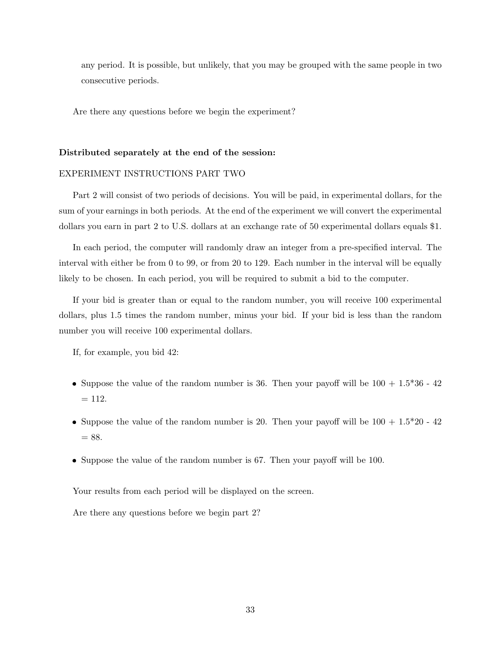any period. It is possible, but unlikely, that you may be grouped with the same people in two consecutive periods.

Are there any questions before we begin the experiment?

### Distributed separately at the end of the session:

### EXPERIMENT INSTRUCTIONS PART TWO

Part 2 will consist of two periods of decisions. You will be paid, in experimental dollars, for the sum of your earnings in both periods. At the end of the experiment we will convert the experimental dollars you earn in part 2 to U.S. dollars at an exchange rate of 50 experimental dollars equals \$1.

In each period, the computer will randomly draw an integer from a pre-specified interval. The interval with either be from 0 to 99, or from 20 to 129. Each number in the interval will be equally likely to be chosen. In each period, you will be required to submit a bid to the computer.

If your bid is greater than or equal to the random number, you will receive 100 experimental dollars, plus 1.5 times the random number, minus your bid. If your bid is less than the random number you will receive 100 experimental dollars.

If, for example, you bid 42:

- Suppose the value of the random number is 36. Then your payoff will be  $100 + 1.5*36 42$  $= 112.$
- Suppose the value of the random number is 20. Then your payoff will be  $100 + 1.5*20 42$  $= 88.$
- Suppose the value of the random number is 67. Then your payoff will be 100.

Your results from each period will be displayed on the screen.

Are there any questions before we begin part 2?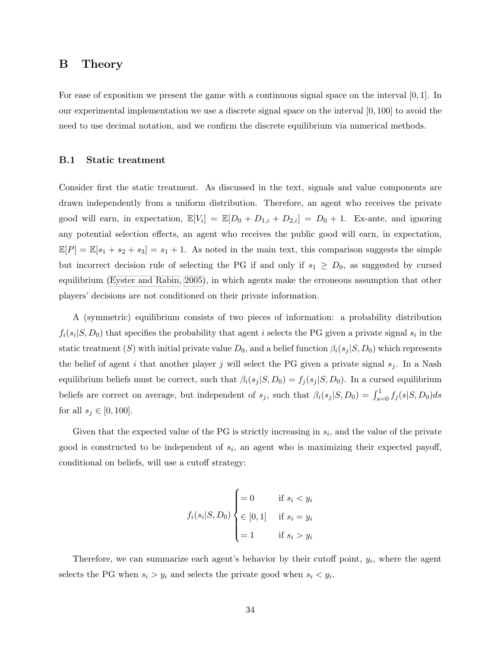## <span id="page-34-1"></span><span id="page-34-0"></span>B Theory

For ease of exposition we present the game with a continuous signal space on the interval  $[0, 1]$ . In our experimental implementation we use a discrete signal space on the interval [0, 100] to avoid the need to use decimal notation, and we confirm the discrete equilibrium via numerical methods.

## B.1 Static treatment

Consider first the static treatment. As discussed in the text, signals and value components are drawn independently from a uniform distribution. Therefore, an agent who receives the private good will earn, in expectation,  $\mathbb{E}[V_i] = \mathbb{E}[D_0 + D_{1,i} + D_{2,i}] = D_0 + 1$ . Ex-ante, and ignoring any potential selection effects, an agent who receives the public good will earn, in expectation,  $\mathbb{E}[P] = \mathbb{E}[s_1 + s_2 + s_3] = s_1 + 1$ . As noted in the main text, this comparison suggests the simple but incorrect decision rule of selecting the PG if and only if  $s_1 \geq D_0$ , as suggested by cursed equilibrium [\(Eyster and Rabin, 2005\)](#page-42-2), in which agents make the erroneous assumption that other players' decisions are not conditioned on their private information.

A (symmetric) equilibrium consists of two pieces of information: a probability distribution  $f_i(s_i|S, D_0)$  that specifies the probability that agent i selects the PG given a private signal  $s_i$  in the static treatment (S) with initial private value  $D_0$ , and a belief function  $\beta_i(s_j|S, D_0)$  which represents the belief of agent i that another player j will select the PG given a private signal  $s_i$ . In a Nash equilibrium beliefs must be correct, such that  $\beta_i(s_j|S, D_0) = f_j(s_j|S, D_0)$ . In a cursed equilibrium beliefs are correct on average, but independent of  $s_j$ , such that  $\beta_i(s_j|S,D_0) = \int_{s=0}^1 f_j(s|S,D_0)ds$ for all  $s_j \in [0, 100]$ .

Given that the expected value of the PG is strictly increasing in  $s_i$ , and the value of the private good is constructed to be independent of  $s_i$ , an agent who is maximizing their expected payoff, conditional on beliefs, will use a cutoff strategy:

$$
f_i(s_i|S, D_0) \begin{cases} = 0 & \text{if } s_i < y_i \\ \in [0, 1] & \text{if } s_i = y_i \\ = 1 & \text{if } s_i > y_i \end{cases}
$$

Therefore, we can summarize each agent's behavior by their cutoff point,  $y_i$ , where the agent selects the PG when  $s_i > y_i$  and selects the private good when  $s_i < y_i$ .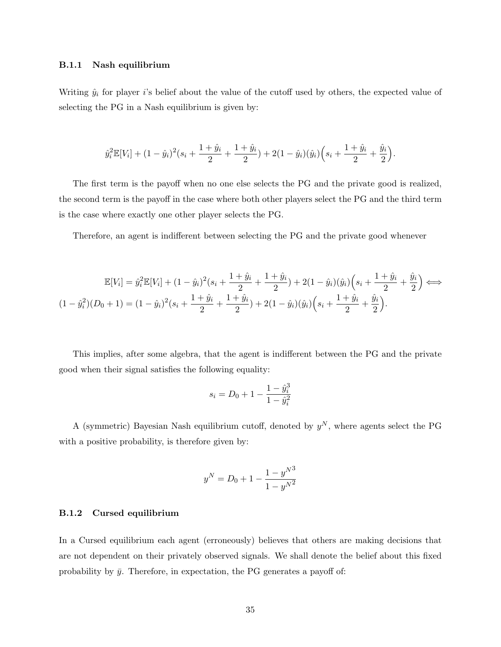#### B.1.1 Nash equilibrium

Writing  $\hat{y}_i$  for player i's belief about the value of the cutoff used by others, the expected value of selecting the PG in a Nash equilibrium is given by:

$$
\hat{y}_i^2 \mathbb{E}[V_i] + (1 - \hat{y}_i)^2 (s_i + \frac{1 + \hat{y}_i}{2} + \frac{1 + \hat{y}_i}{2}) + 2(1 - \hat{y}_i)(\hat{y}_i) \left(s_i + \frac{1 + \hat{y}_i}{2} + \frac{\hat{y}_i}{2}\right).
$$

The first term is the payoff when no one else selects the PG and the private good is realized, the second term is the payoff in the case where both other players select the PG and the third term is the case where exactly one other player selects the PG.

Therefore, an agent is indifferent between selecting the PG and the private good whenever

$$
\mathbb{E}[V_i] = \hat{y}_i^2 \mathbb{E}[V_i] + (1 - \hat{y}_i)^2 (s_i + \frac{1 + \hat{y}_i}{2} + \frac{1 + \hat{y}_i}{2}) + 2(1 - \hat{y}_i)(\hat{y}_i) \left(s_i + \frac{1 + \hat{y}_i}{2} + \frac{\hat{y}_i}{2}\right) \Longleftrightarrow
$$
  

$$
(1 - \hat{y}_i^2)(D_0 + 1) = (1 - \hat{y}_i)^2 (s_i + \frac{1 + \hat{y}_i}{2} + \frac{1 + \hat{y}_i}{2}) + 2(1 - \hat{y}_i)(\hat{y}_i) \left(s_i + \frac{1 + \hat{y}_i}{2} + \frac{\hat{y}_i}{2}\right).
$$

This implies, after some algebra, that the agent is indifferent between the PG and the private good when their signal satisfies the following equality:

$$
s_i = D_0 + 1 - \frac{1 - \hat{y}_i^3}{1 - \hat{y}_i^2}
$$

A (symmetric) Bayesian Nash equilibrium cutoff, denoted by  $y^N$ , where agents select the PG with a positive probability, is therefore given by:

$$
y^{N} = D_0 + 1 - \frac{1 - y^{N^3}}{1 - y^{N^2}}
$$

### B.1.2 Cursed equilibrium

In a Cursed equilibrium each agent (erroneously) believes that others are making decisions that are not dependent on their privately observed signals. We shall denote the belief about this fixed probability by  $\bar{y}$ . Therefore, in expectation, the PG generates a payoff of: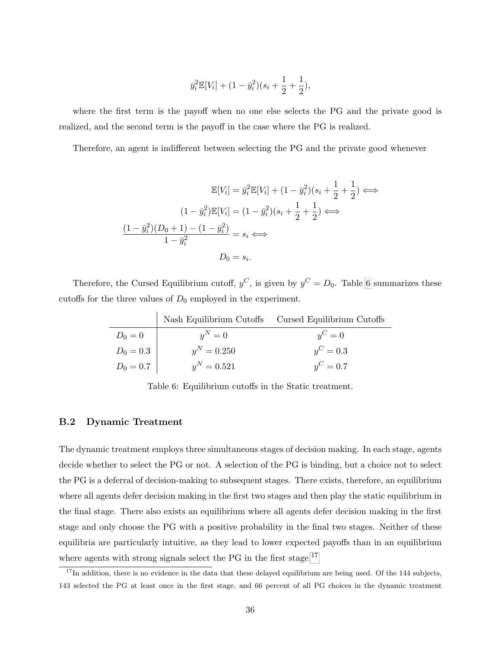$$
\bar{y}_i^2 \mathbb{E}[V_i] + (1 - \bar{y}_i^2)(s_i + \frac{1}{2} + \frac{1}{2}),
$$

where the first term is the payoff when no one else selects the PG and the private good is realized, and the second term is the payoff in the case where the PG is realized.

Therefore, an agent is indifferent between selecting the PG and the private good whenever

$$
\mathbb{E}[V_i] = \bar{y}_i^2 \mathbb{E}[V_i] + (1 - \bar{y}_i^2)(s_i + \frac{1}{2} + \frac{1}{2}) \iff
$$
  

$$
(1 - \bar{y}_i^2)\mathbb{E}[V_i] = (1 - \bar{y}_i^2)(s_i + \frac{1}{2} + \frac{1}{2}) \iff
$$
  

$$
\frac{(1 - \bar{y}_i^2)(D_0 + 1) - (1 - \bar{y}_i^2)}{1 - \bar{y}_i^2} = s_i \iff
$$
  

$$
D_0 = s_i.
$$

Therefore, the Cursed Equilibrium cutoff,  $y^C$ , is given by  $y^C = D_0$ . Table [6](#page-36-0) summarizes these cutoffs for the three values of  $D_0$  employed in the experiment.

|             |               | Nash Equilibrium Cutoffs Cursed Equilibrium Cutoffs |
|-------------|---------------|-----------------------------------------------------|
| $D_0 = 0$   | $y^N=0$       | $y^C=0$                                             |
| $D_0 = 0.3$ | $y^N = 0.250$ | $y^C = 0.3$                                         |
| $D_0 = 0.7$ | $y^N = 0.521$ | $y^C = 0.7$                                         |

<span id="page-36-0"></span>Table 6: Equilibrium cutoffs in the Static treatment.

## B.2 Dynamic Treatment

The dynamic treatment employs three simultaneous stages of decision making. In each stage, agents decide whether to select the PG or not. A selection of the PG is binding, but a choice not to select the PG is a deferral of decision-making to subsequent stages. There exists, therefore, an equilibrium where all agents defer decision making in the first two stages and then play the static equilibrium in the final stage. There also exists an equilibrium where all agents defer decision making in the first stage and only choose the PG with a positive probability in the final two stages. Neither of these equilibria are particularly intuitive, as they lead to lower expected payoffs than in an equilibrium where agents with strong signals select the PG in the first stage.<sup>[17](#page-36-1)</sup>

<span id="page-36-1"></span> $17$ In addition, there is no evidence in the data that these delayed equilibrium are being used. Of the 144 subjects, 143 selected the PG at least once in the first stage, and 66 percent of all PG choices in the dynamic treatment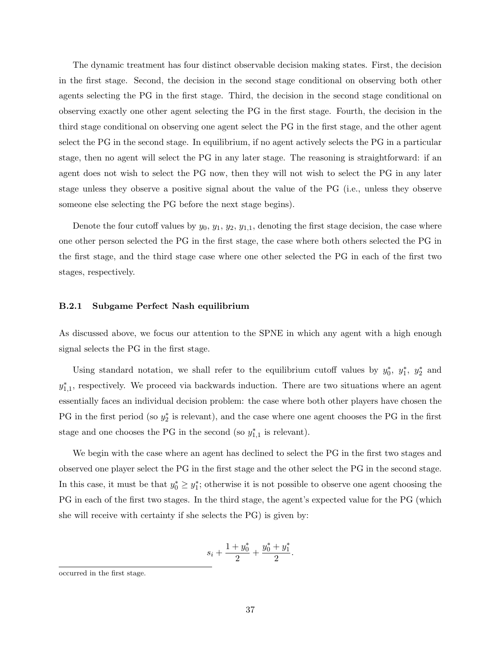The dynamic treatment has four distinct observable decision making states. First, the decision in the first stage. Second, the decision in the second stage conditional on observing both other agents selecting the PG in the first stage. Third, the decision in the second stage conditional on observing exactly one other agent selecting the PG in the first stage. Fourth, the decision in the third stage conditional on observing one agent select the PG in the first stage, and the other agent select the PG in the second stage. In equilibrium, if no agent actively selects the PG in a particular stage, then no agent will select the PG in any later stage. The reasoning is straightforward: if an agent does not wish to select the PG now, then they will not wish to select the PG in any later stage unless they observe a positive signal about the value of the PG (i.e., unless they observe someone else selecting the PG before the next stage begins).

Denote the four cutoff values by  $y_0, y_1, y_2, y_{1,1}$ , denoting the first stage decision, the case where one other person selected the PG in the first stage, the case where both others selected the PG in the first stage, and the third stage case where one other selected the PG in each of the first two stages, respectively.

#### B.2.1 Subgame Perfect Nash equilibrium

As discussed above, we focus our attention to the SPNE in which any agent with a high enough signal selects the PG in the first stage.

Using standard notation, we shall refer to the equilibrium cutoff values by  $y_0^*, y_1^*, y_2^*$  and  $y_{1,1}^*$ , respectively. We proceed via backwards induction. There are two situations where an agent essentially faces an individual decision problem: the case where both other players have chosen the PG in the first period (so  $y_2^*$  is relevant), and the case where one agent chooses the PG in the first stage and one chooses the PG in the second (so  $y_{1,1}^*$  is relevant).

We begin with the case where an agent has declined to select the PG in the first two stages and observed one player select the PG in the first stage and the other select the PG in the second stage. In this case, it must be that  $y_0^* \geq y_1^*$ ; otherwise it is not possible to observe one agent choosing the PG in each of the first two stages. In the third stage, the agent's expected value for the PG (which she will receive with certainty if she selects the PG) is given by:

$$
s_i + \frac{1 + y_0^*}{2} + \frac{y_0^* + y_1^*}{2}.
$$

occurred in the first stage.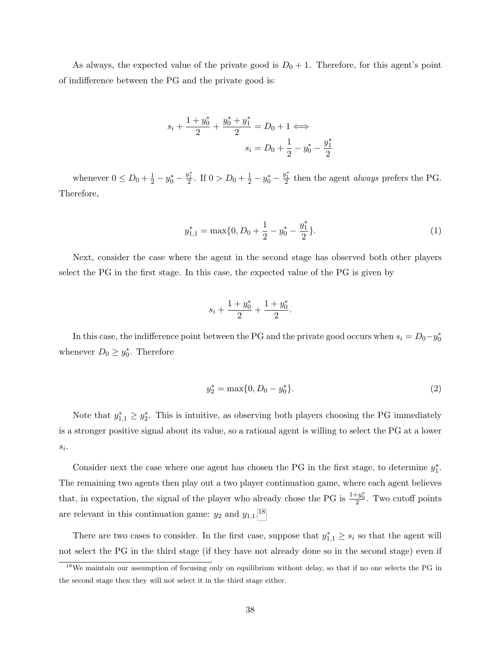As always, the expected value of the private good is  $D_0 + 1$ . Therefore, for this agent's point of indifference between the PG and the private good is:

$$
s_i + \frac{1+y_0^*}{2} + \frac{y_0^* + y_1^*}{2} = D_0 + 1 \Longleftrightarrow
$$
  

$$
s_i = D_0 + \frac{1}{2} - y_0^* - \frac{y_1^*}{2}
$$

whenever  $0 \le D_0 + \frac{1}{2} - y_0^* - \frac{y_1^*}{2}$ . If  $0 > D_0 + \frac{1}{2} - y_0^* - \frac{y_1^*}{2}$  then the agent *always* prefers the PG. Therefore,

$$
y_{1,1}^* = \max\{0, D_0 + \frac{1}{2} - y_0^* - \frac{y_1^*}{2}\}.
$$
 (1)

Next, consider the case where the agent in the second stage has observed both other players select the PG in the first stage. In this case, the expected value of the PG is given by

$$
s_i + \frac{1 + y_0^*}{2} + \frac{1 + y_0^*}{2}.
$$

In this case, the indifference point between the PG and the private good occurs when  $s_i = D_0 - y_0^*$ whenever  $D_0 \geq y_0^*$ . Therefore

<span id="page-38-0"></span>
$$
y_2^* = \max\{0, D_0 - y_0^*\}.
$$
 (2)

Note that  $y_{1,1}^* \geq y_2^*$ . This is intuitive, as observing both players choosing the PG immediately is a stronger positive signal about its value, so a rational agent is willing to select the PG at a lower  $s_i$ .

Consider next the case where one agent has chosen the PG in the first stage, to determine  $y_1^*$ . The remaining two agents then play out a two player continuation game, where each agent believes that, in expectation, the signal of the player who already chose the PG is  $\frac{1+y_0^*}{2}$ . Two cutoff points are relevant in this continuation game:  $y_2$  and  $y_{1,1}$ .<sup>[18](#page-38-1)</sup>

There are two cases to consider. In the first case, suppose that  $y_{1,1}^* \geq s_i$  so that the agent will not select the PG in the third stage (if they have not already done so in the second stage) even if

<span id="page-38-1"></span><sup>18</sup>We maintain our assumption of focusing only on equilibrium without delay, so that if no one selects the PG in the second stage then they will not select it in the third stage either.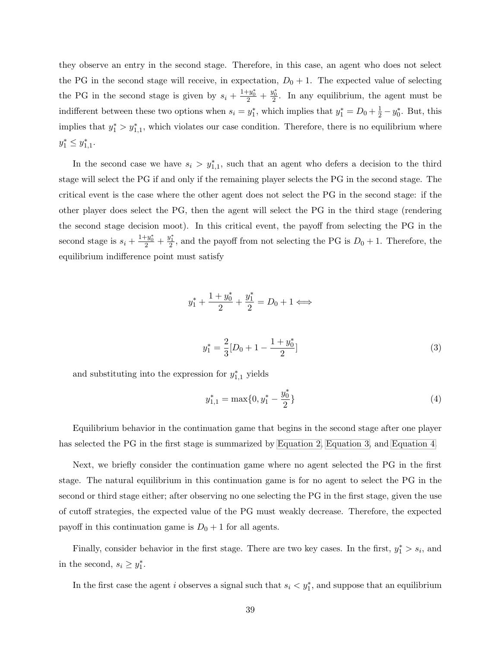they observe an entry in the second stage. Therefore, in this case, an agent who does not select the PG in the second stage will receive, in expectation,  $D_0 + 1$ . The expected value of selecting the PG in the second stage is given by  $s_i + \frac{1+y_0^*}{2} + \frac{y_0^*}{2}$ . In any equilibrium, the agent must be indifferent between these two options when  $s_i = y_1^*$ , which implies that  $y_1^* = D_0 + \frac{1}{2} - y_0^*$ . But, this implies that  $y_1^* > y_{1,1}^*$ , which violates our case condition. Therefore, there is no equilibrium where  $y_1^* \leq y_{1,1}^*$ .

In the second case we have  $s_i > y_{1,1}^*$ , such that an agent who defers a decision to the third stage will select the PG if and only if the remaining player selects the PG in the second stage. The critical event is the case where the other agent does not select the PG in the second stage: if the other player does select the PG, then the agent will select the PG in the third stage (rendering the second stage decision moot). In this critical event, the payoff from selecting the PG in the second stage is  $s_i + \frac{1+y_0^*}{2} + \frac{y_1^*}{2}$ , and the payoff from not selecting the PG is  $D_0 + 1$ . Therefore, the equilibrium indifference point must satisfy

$$
y_1^* + \frac{1+y_0^*}{2} + \frac{y_1^*}{2} = D_0 + 1 \Longleftrightarrow
$$

<span id="page-39-1"></span>
$$
y_1^* = \frac{2}{3} [D_0 + 1 - \frac{1 + y_0^*}{2}]
$$
\n(3)

and substituting into the expression for  $y_{1,1}^*$  yields

<span id="page-39-0"></span>
$$
y_{1,1}^* = \max\{0, y_1^* - \frac{y_0^*}{2}\}\tag{4}
$$

Equilibrium behavior in the continuation game that begins in the second stage after one player has selected the PG in the first stage is summarized by [Equation 2,](#page-38-0) [Equation 3,](#page-39-1) and [Equation 4.](#page-39-0)

Next, we briefly consider the continuation game where no agent selected the PG in the first stage. The natural equilibrium in this continuation game is for no agent to select the PG in the second or third stage either; after observing no one selecting the PG in the first stage, given the use of cutoff strategies, the expected value of the PG must weakly decrease. Therefore, the expected payoff in this continuation game is  $D_0 + 1$  for all agents.

Finally, consider behavior in the first stage. There are two key cases. In the first,  $y_1^* > s_i$ , and in the second,  $s_i \geq y_1^*$ .

In the first case the agent i observes a signal such that  $s_i < y_1^*$ , and suppose that an equilibrium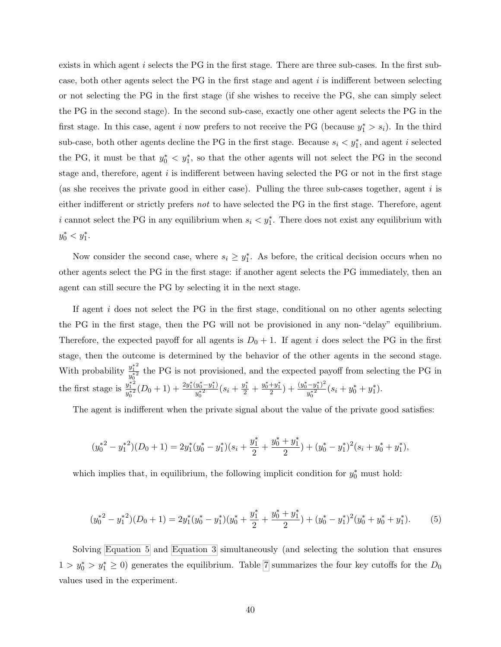exists in which agent i selects the PG in the first stage. There are three sub-cases. In the first subcase, both other agents select the PG in the first stage and agent  $i$  is indifferent between selecting or not selecting the PG in the first stage (if she wishes to receive the PG, she can simply select the PG in the second stage). In the second sub-case, exactly one other agent selects the PG in the first stage. In this case, agent i now prefers to not receive the PG (because  $y_1^* > s_i$ ). In the third sub-case, both other agents decline the PG in the first stage. Because  $s_i < y_1^*$ , and agent i selected the PG, it must be that  $y_0^* \leq y_1^*$ , so that the other agents will not select the PG in the second stage and, therefore, agent i is indifferent between having selected the PG or not in the first stage (as she receives the private good in either case). Pulling the three sub-cases together, agent  $i$  is either indifferent or strictly prefers not to have selected the PG in the first stage. Therefore, agent i cannot select the PG in any equilibrium when  $s_i < y_1^*$ . There does not exist any equilibrium with  $y_0^* < y_1^*.$ 

Now consider the second case, where  $s_i \geq y_1^*$ . As before, the critical decision occurs when no other agents select the PG in the first stage: if another agent selects the PG immediately, then an agent can still secure the PG by selecting it in the next stage.

If agent  $i$  does not select the PG in the first stage, conditional on no other agents selecting the PG in the first stage, then the PG will not be provisioned in any non-"delay" equilibrium. Therefore, the expected payoff for all agents is  $D_0 + 1$ . If agent i does select the PG in the first stage, then the outcome is determined by the behavior of the other agents in the second stage. With probability  $\frac{y_1^{*2}}{x_1^{*2}}$  $\frac{y_1}{y_0^{*2}}$  the PG is not provisioned, and the expected payoff from selecting the PG in the first stage is  $\frac{y_1^{*2}}{x_1^{*2}}$  $\frac{y_1^{*2}}{y_0^{*2}}(D_0+1)+\frac{2y_1^*(y_0^*-y_1^*)}{y_0^{*2}}$  $\frac{(y_0^*-y_1^*)}{y_0^{*2}}(s_i+\frac{y_1^*}{2}+\frac{y_0^*+y_1^*}{2})+\frac{(y_0^*-y_1^*)^2}{y_0^{*2}}$  $\frac{(-y_1^*)^2}{y_0^{*2}}(s_i+y_0^*+y_1^*).$ 

The agent is indifferent when the private signal about the value of the private good satisfies:

$$
(y_0^{\ast 2} - y_1^{\ast 2})(D_0 + 1) = 2y_1^{\ast}(y_0^{\ast} - y_1^{\ast})(s_i + \frac{y_1^{\ast}}{2} + \frac{y_0^{\ast} + y_1^{\ast}}{2}) + (y_0^{\ast} - y_1^{\ast})^2(s_i + y_0^{\ast} + y_1^{\ast}),
$$

which implies that, in equilibrium, the following implicit condition for  $y_0^*$  must hold:

<span id="page-40-0"></span>
$$
(y_0^{*2} - y_1^{*2})(D_0 + 1) = 2y_1^*(y_0^* - y_1^*)(y_0^* + \frac{y_1^*}{2} + \frac{y_0^* + y_1^*}{2}) + (y_0^* - y_1^*)^2(y_0^* + y_0^* + y_1^*).
$$
 (5)

Solving [Equation 5](#page-40-0) and [Equation 3](#page-39-1) simultaneously (and selecting the solution that ensures  $1 > y_0^* > y_1^* \geq 0$ ) generates the equilibrium. Table [7](#page-41-10) summarizes the four key cutoffs for the  $D_0$ values used in the experiment.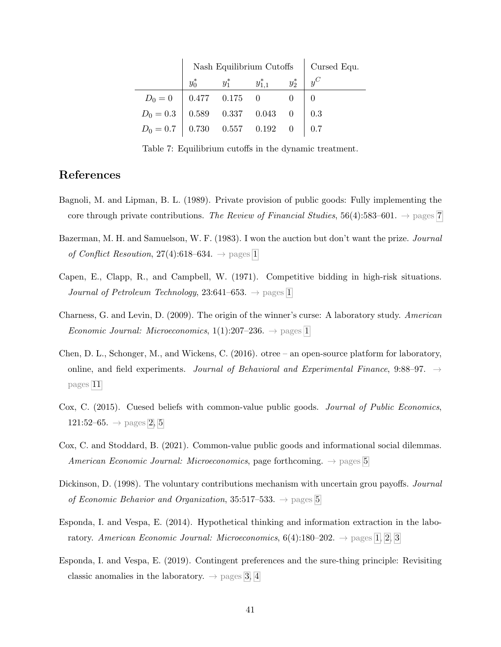|                                                                           | Nash Equilibrium Cutoffs   Cursed Equ. |  |                                           |  |  |
|---------------------------------------------------------------------------|----------------------------------------|--|-------------------------------------------|--|--|
|                                                                           |                                        |  | $y_0^*$ $y_1^*$ $y_{1.1}^*$ $y_2^*$ $y^C$ |  |  |
| $D_0 = 0$   0.477 0.175 0 0 0 0                                           |                                        |  |                                           |  |  |
| $D_0 = 0.3 \begin{array}{ l} 0.589 & 0.337 & 0.043 & 0 \end{array}$   0.3 |                                        |  |                                           |  |  |
| $D_0 = 0.7$ 0.730 0.557 0.192 0 0.7                                       |                                        |  |                                           |  |  |

<span id="page-41-10"></span>Table 7: Equilibrium cutoffs in the dynamic treatment.

## References

- <span id="page-41-8"></span>Bagnoli, M. and Lipman, B. L. (1989). Private provision of public goods: Fully implementing the core through private contributions. The Review of Financial Studies, 56(4):583–601.  $\rightarrow$  pages [7](#page-7-0)
- <span id="page-41-1"></span>Bazerman, M. H. and Samuelson, W. F. (1983). I won the auction but don't want the prize. Journal of Conflict Resoution, 27(4):6[1](#page-0-0)8–634.  $\rightarrow$  pages 1
- <span id="page-41-0"></span>Capen, E., Clapp, R., and Campbell, W. (1971). Competitive bidding in high-risk situations. Journal of Petroleum Technology, 23:64[1](#page-0-0)–653.  $\rightarrow$  pages 1
- <span id="page-41-2"></span>Charness, G. and Levin, D. (2009). The origin of the winner's curse: A laboratory study. American *Economic Journal: Microeconomics*,  $1(1):207-236. \rightarrow$  $1(1):207-236. \rightarrow$  pages 1
- <span id="page-41-9"></span>Chen, D. L., Schonger, M., and Wickens, C. (2016). otree – an open-source platform for laboratory, online, and field experiments. Journal of Behavioral and Experimental Finance, 9:88–97.  $\rightarrow$ pages [11](#page-11-0)
- <span id="page-41-4"></span>Cox, C. (2015). Cuesed beliefs with common-value public goods. Journal of Public Economics, 121:52–65.  $\rightarrow$  pages [2,](#page-2-1) [5](#page-5-2)
- <span id="page-41-7"></span>Cox, C. and Stoddard, B. (2021). Common-value public goods and informational social dilemmas. American Economic Journal: Microeconomics, page forthcoming.  $\rightarrow$  pages [5](#page-5-2)
- <span id="page-41-6"></span>Dickinson, D. (1998). The voluntary contributions mechanism with uncertain grou payoffs. Journal of Economic Behavior and Organization, 3[5](#page-5-2):517–533.  $\rightarrow$  pages 5
- <span id="page-41-3"></span>Esponda, I. and Vespa, E. (2014). Hypothetical thinking and information extraction in the laboratory. American Economic Journal: Microeconomics,  $6(4):180-202. \rightarrow$  pages [1,](#page-0-0) [2,](#page-2-1) [3](#page-3-1)
- <span id="page-41-5"></span>Esponda, I. and Vespa, E. (2019). Contingent preferences and the sure-thing principle: Revisiting classic anomalies in the laboratory.  $\rightarrow$  pages [3,](#page-3-1) [4](#page-4-1)